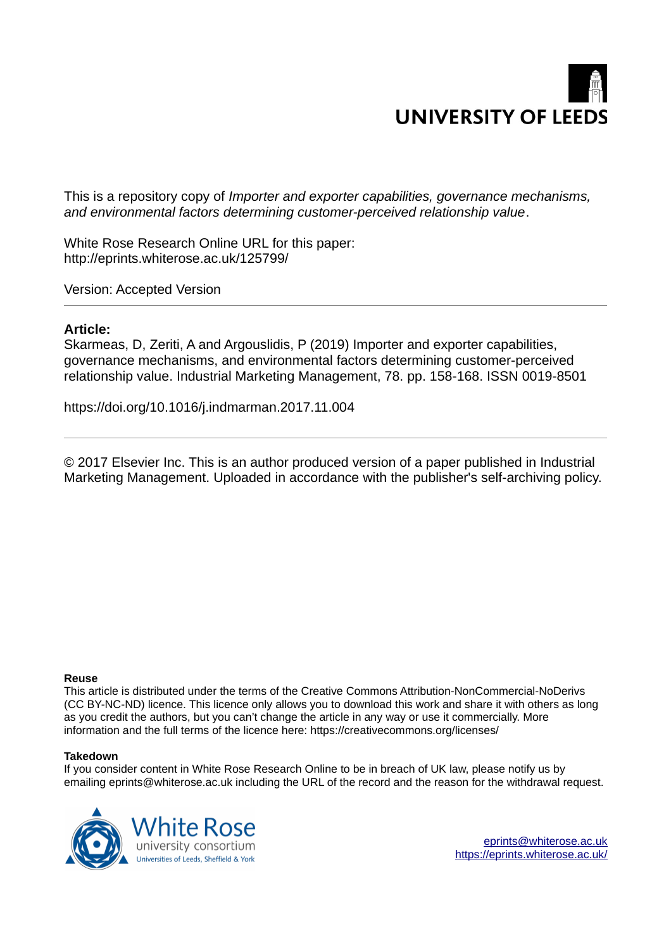

This is a repository copy of *Importer and exporter capabilities, governance mechanisms, and environmental factors determining customer-perceived relationship value*.

White Rose Research Online URL for this paper: http://eprints.whiterose.ac.uk/125799/

Version: Accepted Version

#### **Article:**

Skarmeas, D, Zeriti, A and Argouslidis, P (2019) Importer and exporter capabilities, governance mechanisms, and environmental factors determining customer-perceived relationship value. Industrial Marketing Management, 78. pp. 158-168. ISSN 0019-8501

https://doi.org/10.1016/j.indmarman.2017.11.004

© 2017 Elsevier Inc. This is an author produced version of a paper published in Industrial Marketing Management. Uploaded in accordance with the publisher's self-archiving policy.

#### **Reuse**

This article is distributed under the terms of the Creative Commons Attribution-NonCommercial-NoDerivs (CC BY-NC-ND) licence. This licence only allows you to download this work and share it with others as long as you credit the authors, but you can't change the article in any way or use it commercially. More information and the full terms of the licence here: https://creativecommons.org/licenses/

#### **Takedown**

If you consider content in White Rose Research Online to be in breach of UK law, please notify us by emailing eprints@whiterose.ac.uk including the URL of the record and the reason for the withdrawal request.



[eprints@whiterose.ac.uk](mailto:eprints@whiterose.ac.uk) <https://eprints.whiterose.ac.uk/>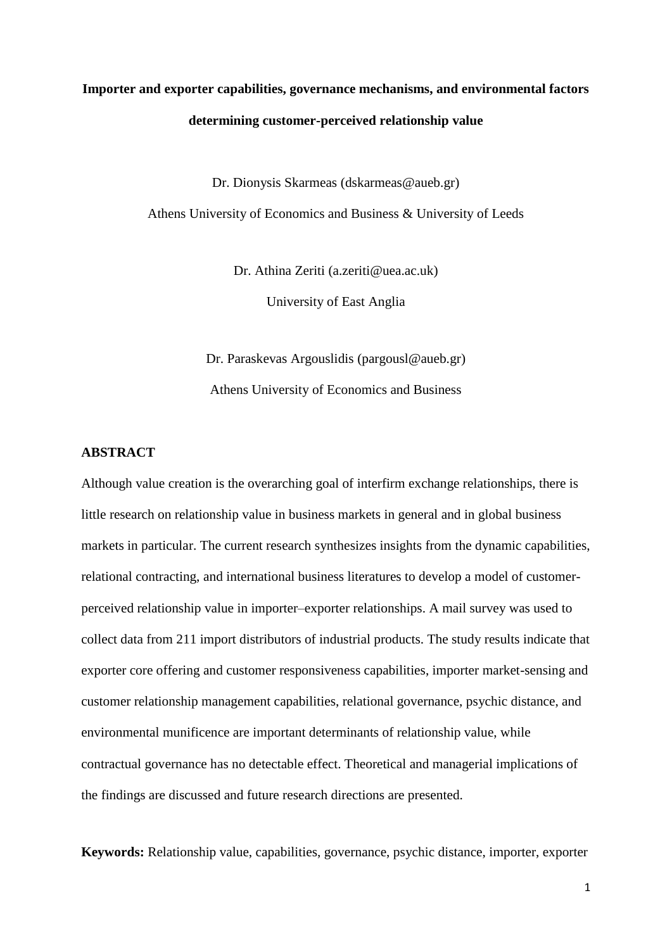# **Importer and exporter capabilities, governance mechanisms, and environmental factors determining customer-perceived relationship value**

Dr. Dionysis Skarmeas (dskarmeas@aueb.gr)

Athens University of Economics and Business & University of Leeds

Dr. Athina Zeriti (a.zeriti@uea.ac.uk)

University of East Anglia

Dr. Paraskevas Argouslidis (pargousl@aueb.gr) Athens University of Economics and Business

### **ABSTRACT**

Although value creation is the overarching goal of interfirm exchange relationships, there is little research on relationship value in business markets in general and in global business markets in particular. The current research synthesizes insights from the dynamic capabilities, relational contracting, and international business literatures to develop a model of customerperceived relationship value in importer–exporter relationships. A mail survey was used to collect data from 211 import distributors of industrial products. The study results indicate that exporter core offering and customer responsiveness capabilities, importer market-sensing and customer relationship management capabilities, relational governance, psychic distance, and environmental munificence are important determinants of relationship value, while contractual governance has no detectable effect. Theoretical and managerial implications of the findings are discussed and future research directions are presented.

**Keywords:** Relationship value, capabilities, governance, psychic distance, importer, exporter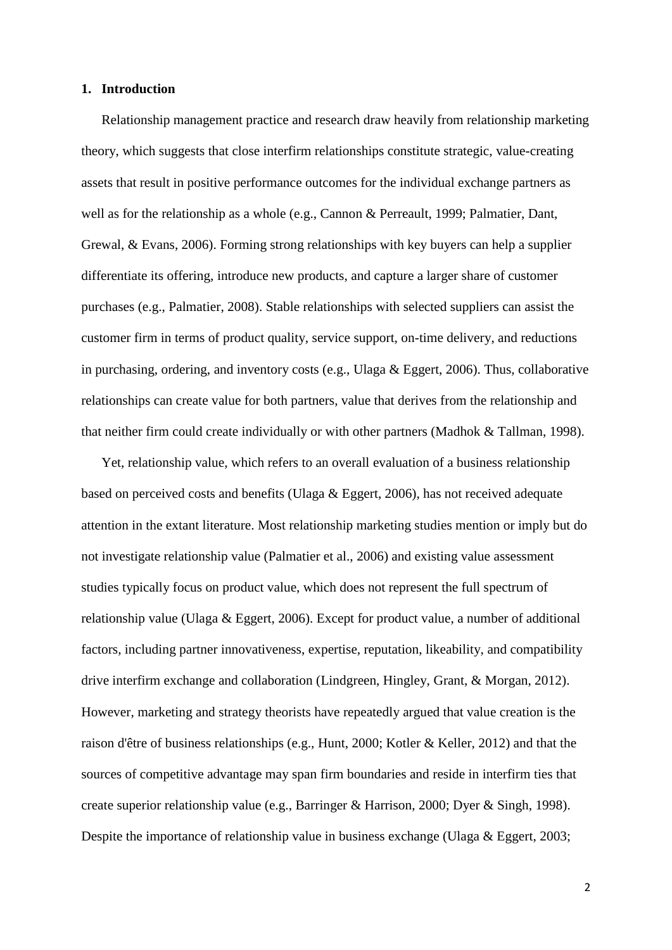#### **1. Introduction**

 Relationship management practice and research draw heavily from relationship marketing theory, which suggests that close interfirm relationships constitute strategic, value-creating assets that result in positive performance outcomes for the individual exchange partners as well as for the relationship as a whole (e.g., Cannon & Perreault, 1999; Palmatier, Dant, Grewal, & Evans, 2006). Forming strong relationships with key buyers can help a supplier differentiate its offering, introduce new products, and capture a larger share of customer purchases (e.g., Palmatier, 2008). Stable relationships with selected suppliers can assist the customer firm in terms of product quality, service support, on-time delivery, and reductions in purchasing, ordering, and inventory costs (e.g., Ulaga & Eggert, 2006). Thus, collaborative relationships can create value for both partners, value that derives from the relationship and that neither firm could create individually or with other partners (Madhok & Tallman, 1998).

 Yet, relationship value, which refers to an overall evaluation of a business relationship based on perceived costs and benefits (Ulaga & Eggert, 2006), has not received adequate attention in the extant literature. Most relationship marketing studies mention or imply but do not investigate relationship value (Palmatier et al., 2006) and existing value assessment studies typically focus on product value, which does not represent the full spectrum of relationship value (Ulaga & Eggert, 2006). Except for product value, a number of additional factors, including partner innovativeness, expertise, reputation, likeability, and compatibility drive interfirm exchange and collaboration (Lindgreen, Hingley, Grant, & Morgan, 2012). However, marketing and strategy theorists have repeatedly argued that value creation is the raison d'être of business relationships (e.g., Hunt, 2000; Kotler & Keller, 2012) and that the sources of competitive advantage may span firm boundaries and reside in interfirm ties that create superior relationship value (e.g., Barringer & Harrison, 2000; Dyer & Singh, 1998). Despite the importance of relationship value in business exchange (Ulaga & Eggert, 2003;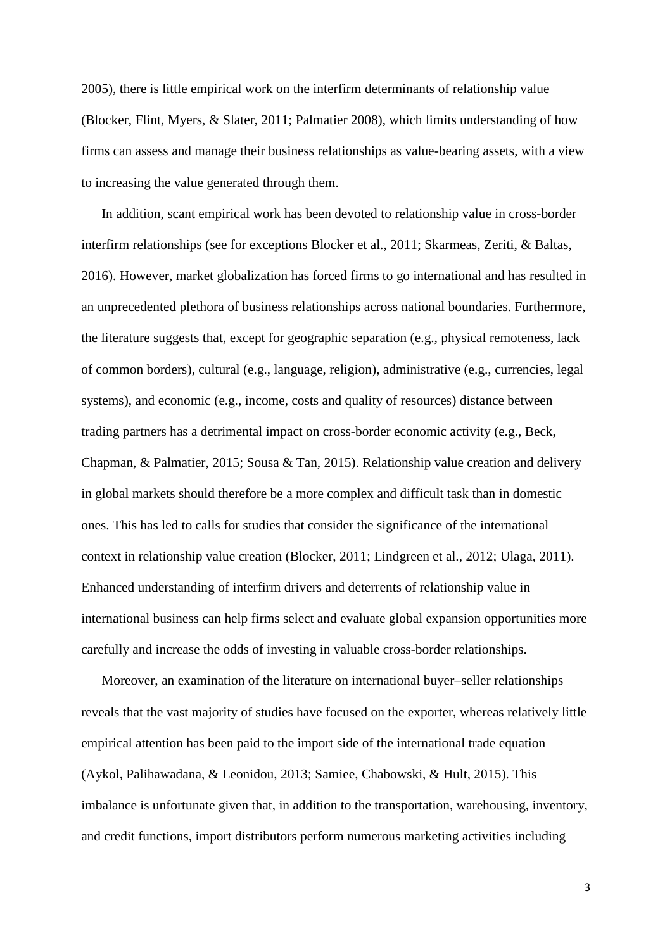2005), there is little empirical work on the interfirm determinants of relationship value (Blocker, Flint, Myers, & Slater, 2011; Palmatier 2008), which limits understanding of how firms can assess and manage their business relationships as value-bearing assets, with a view to increasing the value generated through them.

 In addition, scant empirical work has been devoted to relationship value in cross-border interfirm relationships (see for exceptions Blocker et al., 2011; Skarmeas, Zeriti, & Baltas, 2016). However, market globalization has forced firms to go international and has resulted in an unprecedented plethora of business relationships across national boundaries. Furthermore, the literature suggests that, except for geographic separation (e.g., physical remoteness, lack of common borders), cultural (e.g., language, religion), administrative (e.g., currencies, legal systems), and economic (e.g., income, costs and quality of resources) distance between trading partners has a detrimental impact on cross-border economic activity (e.g., Beck, Chapman, & Palmatier, 2015; Sousa & Tan, 2015). Relationship value creation and delivery in global markets should therefore be a more complex and difficult task than in domestic ones. This has led to calls for studies that consider the significance of the international context in relationship value creation (Blocker, 2011; Lindgreen et al., 2012; Ulaga, 2011). Enhanced understanding of interfirm drivers and deterrents of relationship value in international business can help firms select and evaluate global expansion opportunities more carefully and increase the odds of investing in valuable cross-border relationships.

 Moreover, an examination of the literature on international buyer–seller relationships reveals that the vast majority of studies have focused on the exporter, whereas relatively little empirical attention has been paid to the import side of the international trade equation (Aykol, Palihawadana, & Leonidou, 2013; Samiee, Chabowski, & Hult, 2015). This imbalance is unfortunate given that, in addition to the transportation, warehousing, inventory, and credit functions, import distributors perform numerous marketing activities including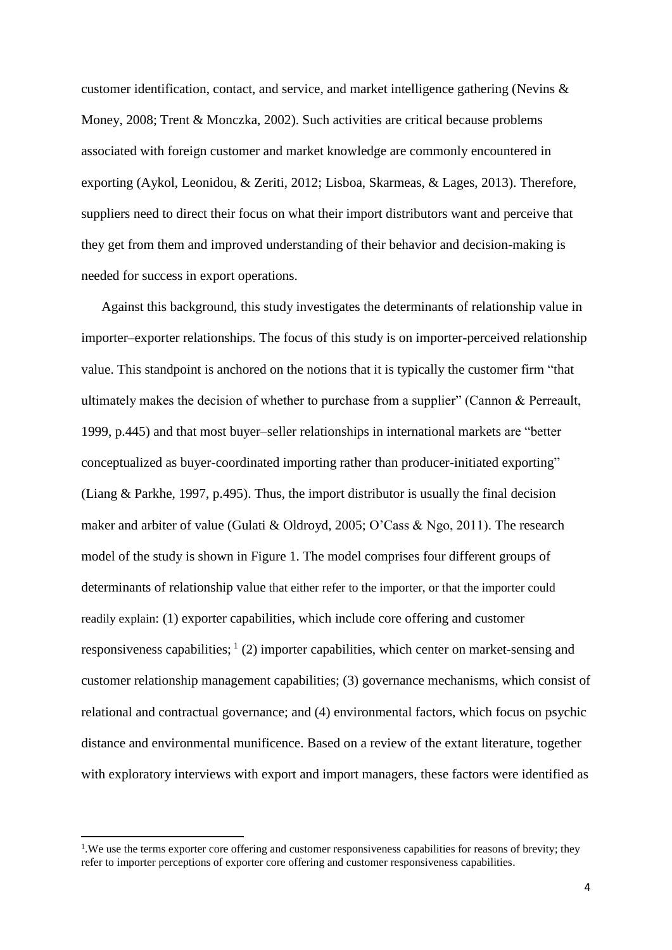customer identification, contact, and service, and market intelligence gathering (Nevins & Money, 2008; Trent & Monczka, 2002). Such activities are critical because problems associated with foreign customer and market knowledge are commonly encountered in exporting (Aykol, Leonidou, & Zeriti, 2012; Lisboa, Skarmeas, & Lages, 2013). Therefore, suppliers need to direct their focus on what their import distributors want and perceive that they get from them and improved understanding of their behavior and decision-making is needed for success in export operations.

 Against this background, this study investigates the determinants of relationship value in importer–exporter relationships. The focus of this study is on importer-perceived relationship value. This standpoint is anchored on the notions that it is typically the customer firm "that ultimately makes the decision of whether to purchase from a supplier" (Cannon & Perreault, 1999, p.445) and that most buyer–seller relationships in international markets are "better conceptualized as buyer-coordinated importing rather than producer-initiated exporting" (Liang & Parkhe, 1997, p.495). Thus, the import distributor is usually the final decision maker and arbiter of value (Gulati & Oldroyd, 2005; O'Cass & Ngo, 2011). The research model of the study is shown in Figure 1. The model comprises four different groups of determinants of relationship value that either refer to the importer, or that the importer could readily explain: (1) exporter capabilities, which include core offering and customer responsiveness capabilities;  $(2)$  importer capabilities, which center on market-sensing and customer relationship management capabilities; (3) governance mechanisms, which consist of relational and contractual governance; and (4) environmental factors, which focus on psychic distance and environmental munificence. Based on a review of the extant literature, together with exploratory interviews with export and import managers, these factors were identified as

 $\overline{a}$ 

<sup>&</sup>lt;sup>1</sup>. We use the terms exporter core offering and customer responsiveness capabilities for reasons of brevity; they refer to importer perceptions of exporter core offering and customer responsiveness capabilities.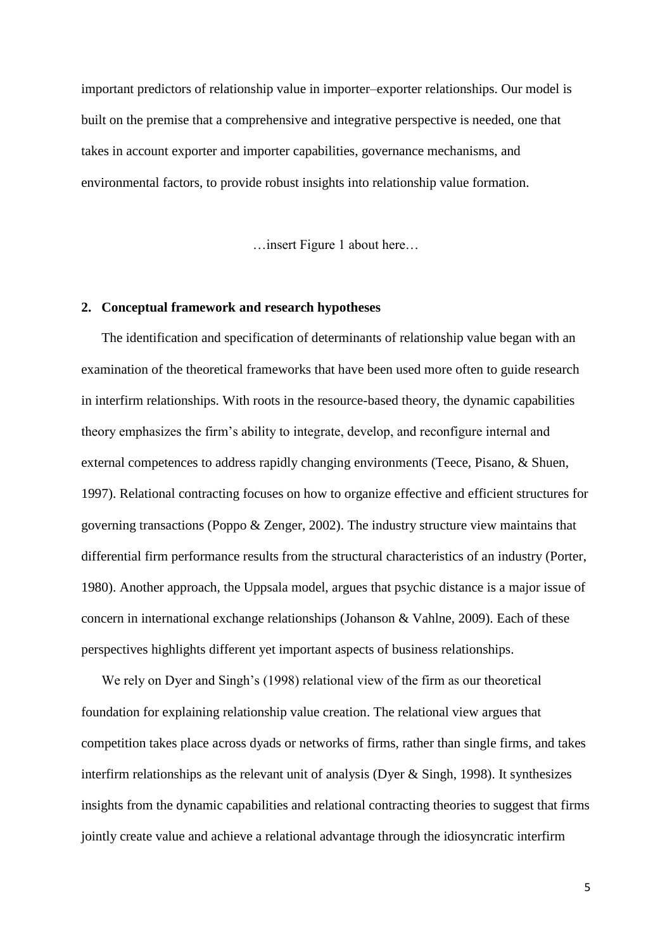important predictors of relationship value in importer–exporter relationships. Our model is built on the premise that a comprehensive and integrative perspective is needed, one that takes in account exporter and importer capabilities, governance mechanisms, and environmental factors, to provide robust insights into relationship value formation.

…insert Figure 1 about here…

#### **2. Conceptual framework and research hypotheses**

 The identification and specification of determinants of relationship value began with an examination of the theoretical frameworks that have been used more often to guide research in interfirm relationships. With roots in the resource-based theory, the dynamic capabilities theory emphasizes the firm's ability to integrate, develop, and reconfigure internal and external competences to address rapidly changing environments (Teece, Pisano, & Shuen, 1997). Relational contracting focuses on how to organize effective and efficient structures for governing transactions (Poppo & Zenger, 2002). The industry structure view maintains that differential firm performance results from the structural characteristics of an industry (Porter, 1980). Another approach, the Uppsala model, argues that psychic distance is a major issue of concern in international exchange relationships (Johanson & Vahlne, 2009). Each of these perspectives highlights different yet important aspects of business relationships.

We rely on Dyer and Singh's (1998) relational view of the firm as our theoretical foundation for explaining relationship value creation. The relational view argues that competition takes place across dyads or networks of firms, rather than single firms, and takes interfirm relationships as the relevant unit of analysis (Dyer & Singh, 1998). It synthesizes insights from the dynamic capabilities and relational contracting theories to suggest that firms jointly create value and achieve a relational advantage through the idiosyncratic interfirm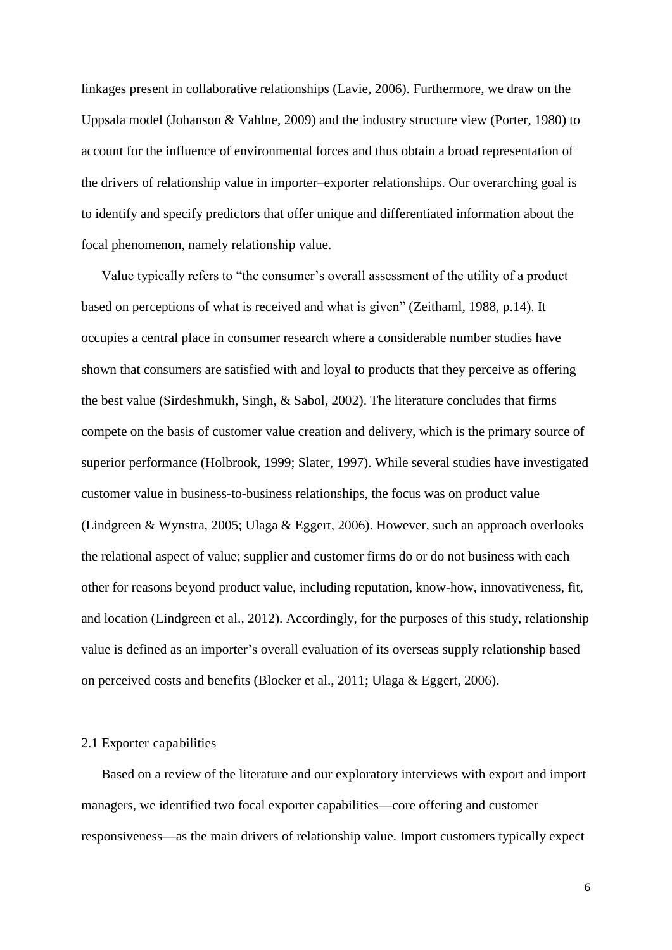linkages present in collaborative relationships (Lavie, 2006). Furthermore, we draw on the Uppsala model (Johanson & Vahlne, 2009) and the industry structure view (Porter, 1980) to account for the influence of environmental forces and thus obtain a broad representation of the drivers of relationship value in importer–exporter relationships. Our overarching goal is to identify and specify predictors that offer unique and differentiated information about the focal phenomenon, namely relationship value.

Value typically refers to "the consumer's overall assessment of the utility of a product based on perceptions of what is received and what is given" (Zeithaml, 1988, p.14). It occupies a central place in consumer research where a considerable number studies have shown that consumers are satisfied with and loyal to products that they perceive as offering the best value (Sirdeshmukh, Singh, & Sabol, 2002). The literature concludes that firms compete on the basis of customer value creation and delivery, which is the primary source of superior performance (Holbrook, 1999; Slater, 1997). While several studies have investigated customer value in business-to-business relationships, the focus was on product value (Lindgreen & Wynstra, 2005; Ulaga & Eggert, 2006). However, such an approach overlooks the relational aspect of value; supplier and customer firms do or do not business with each other for reasons beyond product value, including reputation, know-how, innovativeness, fit, and location (Lindgreen et al., 2012). Accordingly, for the purposes of this study, relationship value is defined as an importer's overall evaluation of its overseas supply relationship based on perceived costs and benefits (Blocker et al., 2011; Ulaga & Eggert, 2006).

#### 2.1 Exporter capabilities

 Based on a review of the literature and our exploratory interviews with export and import managers, we identified two focal exporter capabilities—core offering and customer responsiveness—as the main drivers of relationship value. Import customers typically expect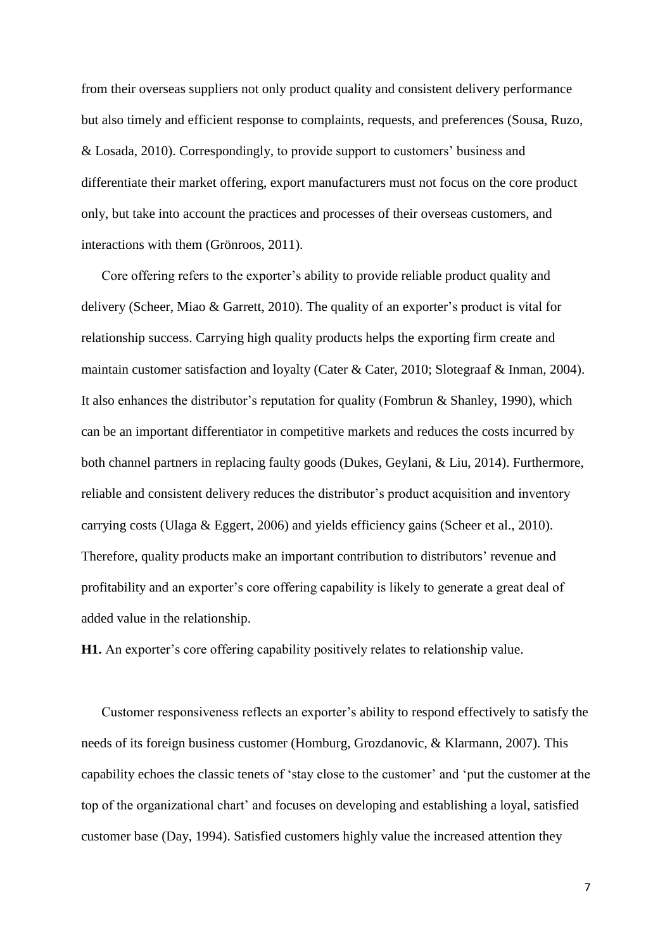from their overseas suppliers not only product quality and consistent delivery performance but also timely and efficient response to complaints, requests, and preferences (Sousa, Ruzo, & Losada, 2010). Correspondingly, to provide support to customers' business and differentiate their market offering, export manufacturers must not focus on the core product only, but take into account the practices and processes of their overseas customers, and interactions with them (Grönroos, 2011).

Core offering refers to the exporter's ability to provide reliable product quality and delivery (Scheer, Miao & Garrett, 2010). The quality of an exporter's product is vital for relationship success. Carrying high quality products helps the exporting firm create and maintain customer satisfaction and loyalty (Cater & Cater, 2010; Slotegraaf & Inman, 2004). It also enhances the distributor's reputation for quality (Fombrun & Shanley, 1990), which can be an important differentiator in competitive markets and reduces the costs incurred by both channel partners in replacing faulty goods (Dukes, Geylani, & Liu, 2014). Furthermore, reliable and consistent delivery reduces the distributor's product acquisition and inventory carrying costs (Ulaga & Eggert, 2006) and yields efficiency gains (Scheer et al., 2010). Therefore, quality products make an important contribution to distributors' revenue and profitability and an exporter's core offering capability is likely to generate a great deal of added value in the relationship.

**H1.** An exporter's core offering capability positively relates to relationship value.

Customer responsiveness reflects an exporter's ability to respond effectively to satisfy the needs of its foreign business customer (Homburg, Grozdanovic, & Klarmann, 2007). This capability echoes the classic tenets of 'stay close to the customer' and 'put the customer at the top of the organizational chart' and focuses on developing and establishing a loyal, satisfied customer base (Day, 1994). Satisfied customers highly value the increased attention they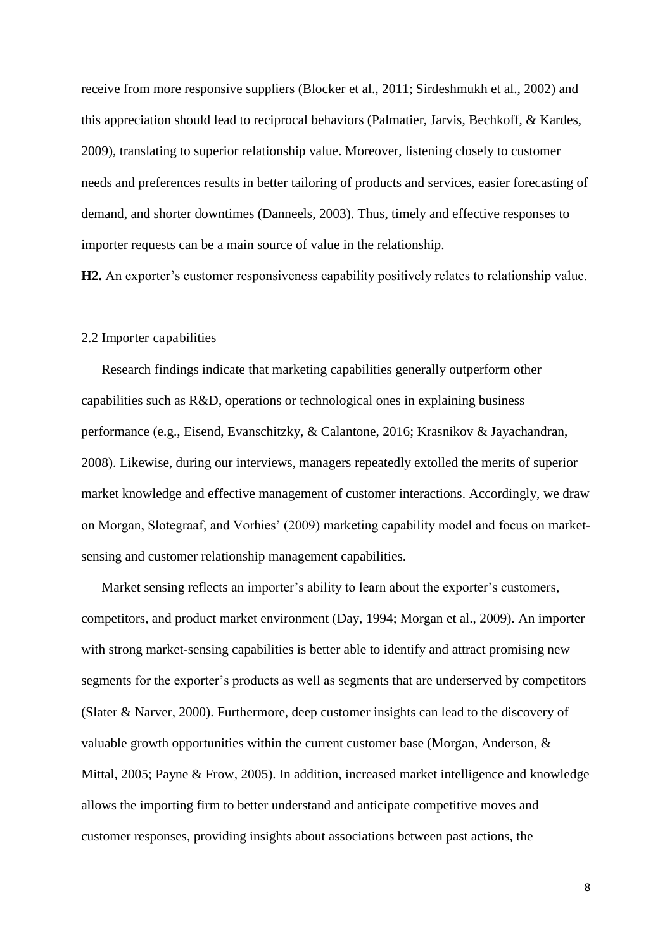receive from more responsive suppliers (Blocker et al., 2011; Sirdeshmukh et al., 2002) and this appreciation should lead to reciprocal behaviors (Palmatier, Jarvis, Bechkoff, & Kardes, 2009), translating to superior relationship value. Moreover, listening closely to customer needs and preferences results in better tailoring of products and services, easier forecasting of demand, and shorter downtimes (Danneels, 2003). Thus, timely and effective responses to importer requests can be a main source of value in the relationship.

H2. An exporter's customer responsiveness capability positively relates to relationship value.

#### 2.2 Importer capabilities

 Research findings indicate that marketing capabilities generally outperform other capabilities such as R&D, operations or technological ones in explaining business performance (e.g., Eisend, Evanschitzky, & Calantone, 2016; Krasnikov & Jayachandran, 2008). Likewise, during our interviews, managers repeatedly extolled the merits of superior market knowledge and effective management of customer interactions. Accordingly, we draw on Morgan, Slotegraaf, and Vorhies' (2009) marketing capability model and focus on marketsensing and customer relationship management capabilities.

 Market sensing reflects an importer's ability to learn about the exporter's customers, competitors, and product market environment (Day, 1994; Morgan et al., 2009). An importer with strong market-sensing capabilities is better able to identify and attract promising new segments for the exporter's products as well as segments that are underserved by competitors (Slater & Narver, 2000). Furthermore, deep customer insights can lead to the discovery of valuable growth opportunities within the current customer base (Morgan, Anderson, & Mittal, 2005; Payne & Frow, 2005). In addition, increased market intelligence and knowledge allows the importing firm to better understand and anticipate competitive moves and customer responses, providing insights about associations between past actions, the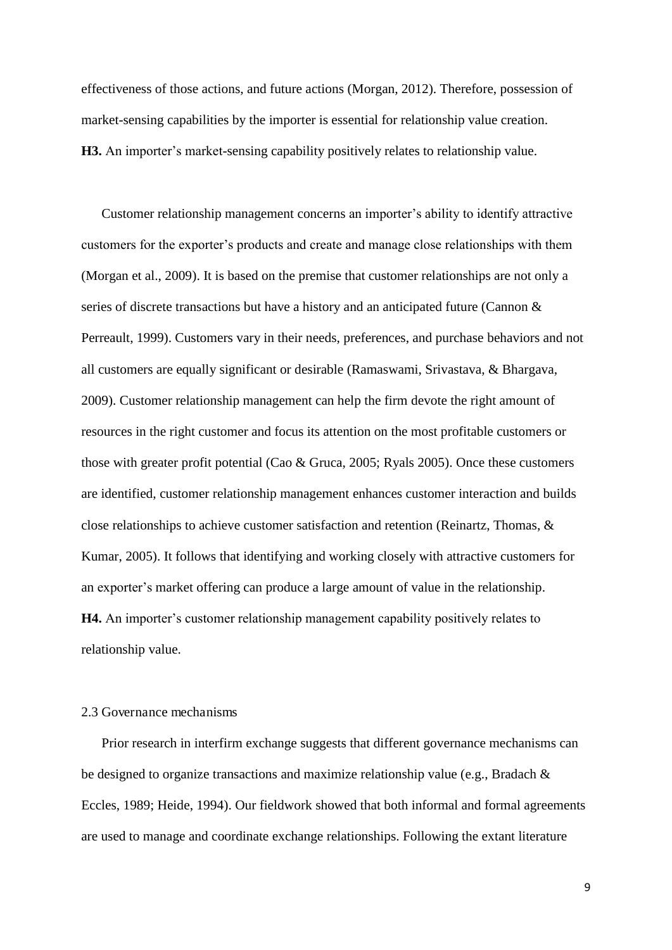effectiveness of those actions, and future actions (Morgan, 2012). Therefore, possession of market-sensing capabilities by the importer is essential for relationship value creation. **H3.** An importer's market-sensing capability positively relates to relationship value.

 Customer relationship management concerns an importer's ability to identify attractive customers for the exporter's products and create and manage close relationships with them (Morgan et al., 2009). It is based on the premise that customer relationships are not only a series of discrete transactions but have a history and an anticipated future (Cannon & Perreault, 1999). Customers vary in their needs, preferences, and purchase behaviors and not all customers are equally significant or desirable (Ramaswami, Srivastava, & Bhargava, 2009). Customer relationship management can help the firm devote the right amount of resources in the right customer and focus its attention on the most profitable customers or those with greater profit potential (Cao & Gruca, 2005; Ryals 2005). Once these customers are identified, customer relationship management enhances customer interaction and builds close relationships to achieve customer satisfaction and retention (Reinartz, Thomas, & Kumar, 2005). It follows that identifying and working closely with attractive customers for an exporter's market offering can produce a large amount of value in the relationship. **H4.** An importer's customer relationship management capability positively relates to relationship value.

#### 2.3 Governance mechanisms

 Prior research in interfirm exchange suggests that different governance mechanisms can be designed to organize transactions and maximize relationship value (e.g., Bradach & Eccles, 1989; Heide, 1994). Our fieldwork showed that both informal and formal agreements are used to manage and coordinate exchange relationships. Following the extant literature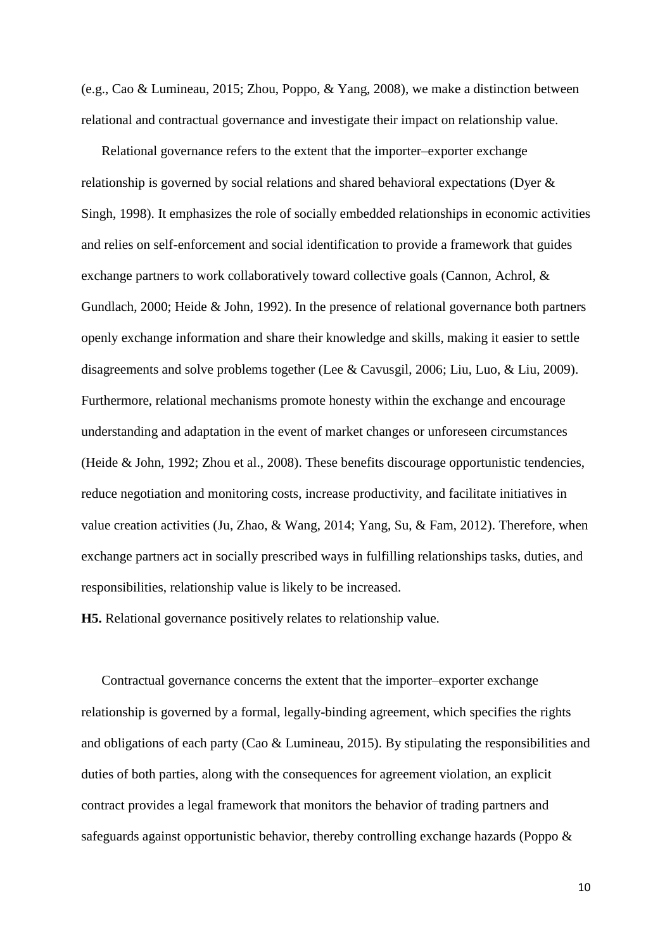(e.g., Cao & Lumineau, 2015; Zhou, Poppo, & Yang, 2008), we make a distinction between relational and contractual governance and investigate their impact on relationship value.

 Relational governance refers to the extent that the importer–exporter exchange relationship is governed by social relations and shared behavioral expectations (Dyer & Singh, 1998). It emphasizes the role of socially embedded relationships in economic activities and relies on self-enforcement and social identification to provide a framework that guides exchange partners to work collaboratively toward collective goals (Cannon, Achrol, & Gundlach, 2000; Heide & John, 1992). In the presence of relational governance both partners openly exchange information and share their knowledge and skills, making it easier to settle disagreements and solve problems together (Lee & Cavusgil, 2006; Liu, Luo, & Liu, 2009). Furthermore, relational mechanisms promote honesty within the exchange and encourage understanding and adaptation in the event of market changes or unforeseen circumstances (Heide & John, 1992; Zhou et al., 2008). These benefits discourage opportunistic tendencies, reduce negotiation and monitoring costs, increase productivity, and facilitate initiatives in value creation activities (Ju, Zhao, & Wang, 2014; Yang, Su, & Fam, 2012). Therefore, when exchange partners act in socially prescribed ways in fulfilling relationships tasks, duties, and responsibilities, relationship value is likely to be increased.

**H5.** Relational governance positively relates to relationship value.

 Contractual governance concerns the extent that the importer–exporter exchange relationship is governed by a formal, legally-binding agreement, which specifies the rights and obligations of each party (Cao & Lumineau, 2015). By stipulating the responsibilities and duties of both parties, along with the consequences for agreement violation, an explicit contract provides a legal framework that monitors the behavior of trading partners and safeguards against opportunistic behavior, thereby controlling exchange hazards (Poppo &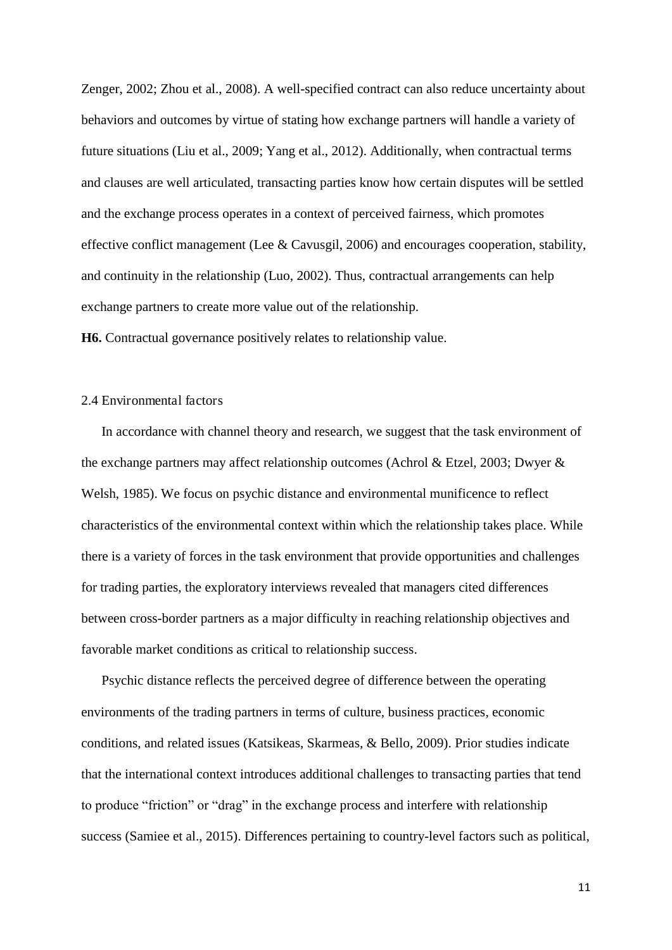Zenger, 2002; Zhou et al., 2008). A well-specified contract can also reduce uncertainty about behaviors and outcomes by virtue of stating how exchange partners will handle a variety of future situations (Liu et al., 2009; Yang et al., 2012). Additionally, when contractual terms and clauses are well articulated, transacting parties know how certain disputes will be settled and the exchange process operates in a context of perceived fairness, which promotes effective conflict management (Lee & Cavusgil, 2006) and encourages cooperation, stability, and continuity in the relationship (Luo, 2002). Thus, contractual arrangements can help exchange partners to create more value out of the relationship.

**H6.** Contractual governance positively relates to relationship value.

#### 2.4 Environmental factors

 In accordance with channel theory and research, we suggest that the task environment of the exchange partners may affect relationship outcomes (Achrol & Etzel, 2003; Dwyer & Welsh, 1985). We focus on psychic distance and environmental munificence to reflect characteristics of the environmental context within which the relationship takes place. While there is a variety of forces in the task environment that provide opportunities and challenges for trading parties, the exploratory interviews revealed that managers cited differences between cross-border partners as a major difficulty in reaching relationship objectives and favorable market conditions as critical to relationship success.

 Psychic distance reflects the perceived degree of difference between the operating environments of the trading partners in terms of culture, business practices, economic conditions, and related issues (Katsikeas, Skarmeas, & Bello, 2009). Prior studies indicate that the international context introduces additional challenges to transacting parties that tend to produce "friction" or "drag" in the exchange process and interfere with relationship success (Samiee et al., 2015). Differences pertaining to country-level factors such as political,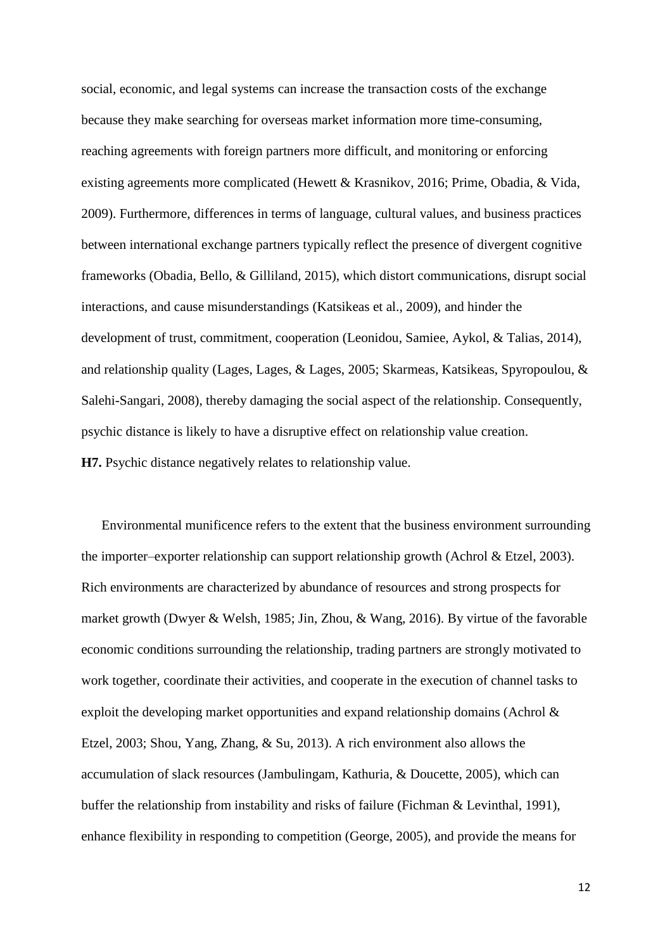social, economic, and legal systems can increase the transaction costs of the exchange because they make searching for overseas market information more time-consuming, reaching agreements with foreign partners more difficult, and monitoring or enforcing existing agreements more complicated (Hewett & Krasnikov, 2016; Prime, Obadia, & Vida, 2009). Furthermore, differences in terms of language, cultural values, and business practices between international exchange partners typically reflect the presence of divergent cognitive frameworks (Obadia, Bello, & Gilliland, 2015), which distort communications, disrupt social interactions, and cause misunderstandings (Katsikeas et al., 2009), and hinder the development of trust, commitment, cooperation (Leonidou, Samiee, Aykol, & Talias, 2014), and relationship quality (Lages, Lages, & Lages, 2005; Skarmeas, Katsikeas, Spyropoulou, & Salehi-Sangari, 2008), thereby damaging the social aspect of the relationship. Consequently, psychic distance is likely to have a disruptive effect on relationship value creation. **H7.** Psychic distance negatively relates to relationship value.

 Environmental munificence refers to the extent that the business environment surrounding the importer–exporter relationship can support relationship growth (Achrol & Etzel, 2003). Rich environments are characterized by abundance of resources and strong prospects for market growth (Dwyer & Welsh, 1985; Jin, Zhou, & Wang, 2016). By virtue of the favorable economic conditions surrounding the relationship, trading partners are strongly motivated to work together, coordinate their activities, and cooperate in the execution of channel tasks to exploit the developing market opportunities and expand relationship domains (Achrol & Etzel, 2003; Shou, Yang, Zhang, & Su, 2013). A rich environment also allows the accumulation of slack resources (Jambulingam, Kathuria, & Doucette, 2005), which can buffer the relationship from instability and risks of failure (Fichman & Levinthal, 1991), enhance flexibility in responding to competition (George, 2005), and provide the means for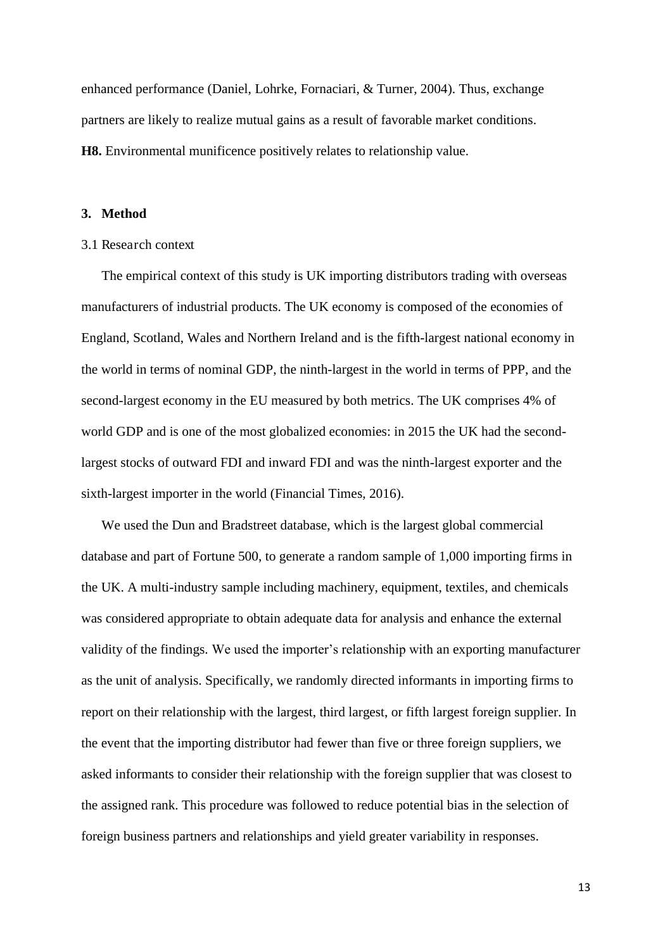enhanced performance (Daniel, Lohrke, Fornaciari, & Turner, 2004). Thus, exchange partners are likely to realize mutual gains as a result of favorable market conditions. **H8.** Environmental munificence positively relates to relationship value.

#### **3. Method**

#### 3.1 Research context

 The empirical context of this study is UK importing distributors trading with overseas manufacturers of industrial products. The UK economy is composed of the economies of England, Scotland, Wales and Northern Ireland and is the fifth-largest national economy in the world in terms of nominal GDP, the ninth-largest in the world in terms of PPP, and the second-largest economy in the EU measured by both metrics. The UK comprises 4% of world GDP and is one of the most globalized economies: in 2015 the UK had the secondlargest stocks of outward FDI and inward FDI and was the ninth-largest exporter and the sixth-largest importer in the world (Financial Times, 2016).

We used the Dun and Bradstreet database, which is the largest global commercial database and part of Fortune 500, to generate a random sample of 1,000 importing firms in the UK. A multi-industry sample including machinery, equipment, textiles, and chemicals was considered appropriate to obtain adequate data for analysis and enhance the external validity of the findings. We used the importer's relationship with an exporting manufacturer as the unit of analysis. Specifically, we randomly directed informants in importing firms to report on their relationship with the largest, third largest, or fifth largest foreign supplier. In the event that the importing distributor had fewer than five or three foreign suppliers, we asked informants to consider their relationship with the foreign supplier that was closest to the assigned rank. This procedure was followed to reduce potential bias in the selection of foreign business partners and relationships and yield greater variability in responses.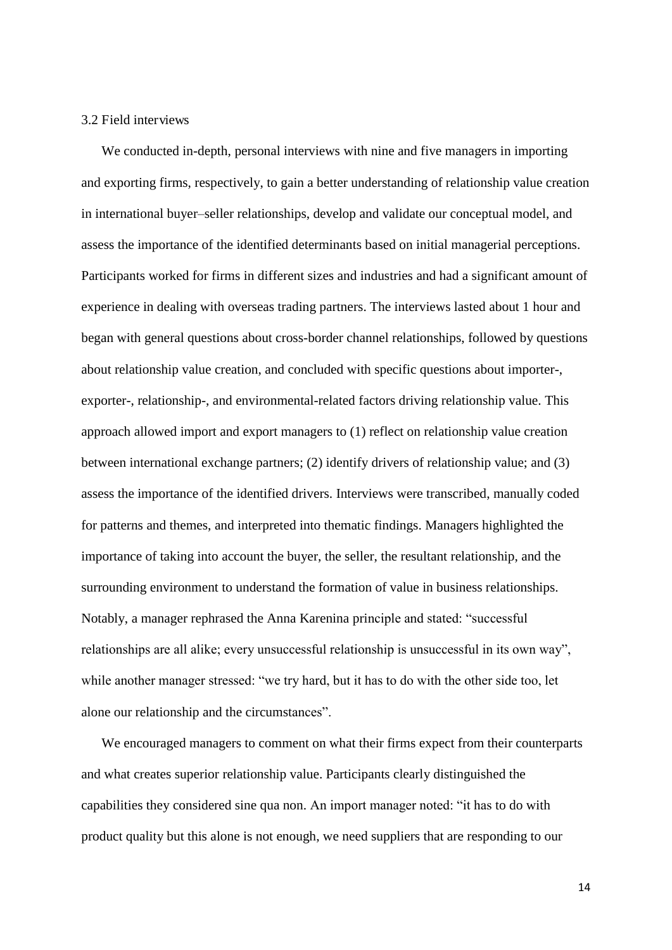#### 3.2 Field interviews

 We conducted in-depth, personal interviews with nine and five managers in importing and exporting firms, respectively, to gain a better understanding of relationship value creation in international buyer–seller relationships, develop and validate our conceptual model, and assess the importance of the identified determinants based on initial managerial perceptions. Participants worked for firms in different sizes and industries and had a significant amount of experience in dealing with overseas trading partners. The interviews lasted about 1 hour and began with general questions about cross-border channel relationships, followed by questions about relationship value creation, and concluded with specific questions about importer-, exporter-, relationship-, and environmental-related factors driving relationship value. This approach allowed import and export managers to (1) reflect on relationship value creation between international exchange partners; (2) identify drivers of relationship value; and (3) assess the importance of the identified drivers. Interviews were transcribed, manually coded for patterns and themes, and interpreted into thematic findings. Managers highlighted the importance of taking into account the buyer, the seller, the resultant relationship, and the surrounding environment to understand the formation of value in business relationships. Notably, a manager rephrased the Anna Karenina principle and stated: "successful relationships are all alike; every unsuccessful relationship is unsuccessful in its own way", while another manager stressed: "we try hard, but it has to do with the other side too, let alone our relationship and the circumstances".

 We encouraged managers to comment on what their firms expect from their counterparts and what creates superior relationship value. Participants clearly distinguished the capabilities they considered sine qua non. An import manager noted: "it has to do with product quality but this alone is not enough, we need suppliers that are responding to our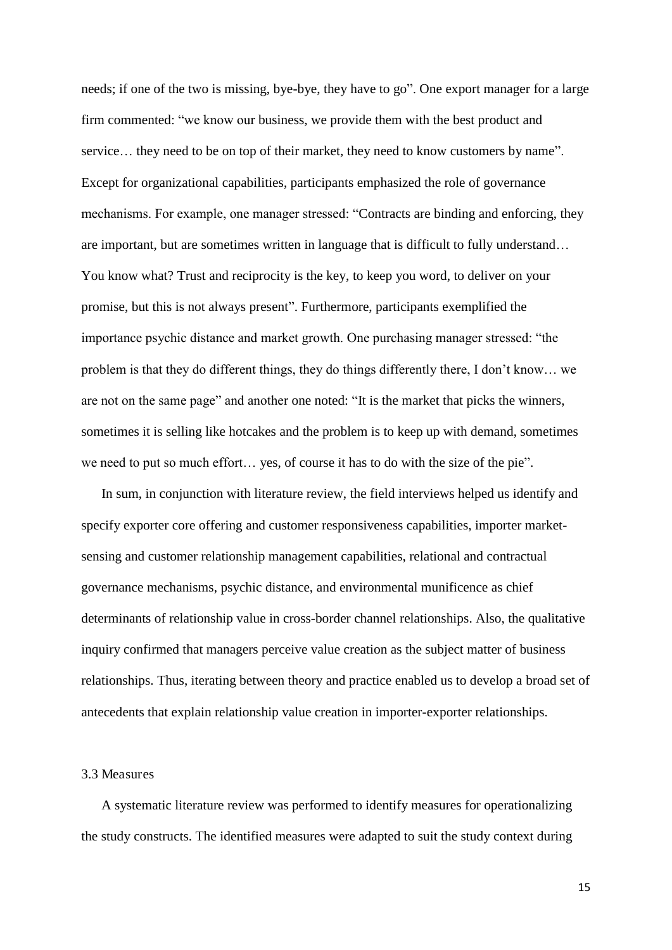needs; if one of the two is missing, bye-bye, they have to go". One export manager for a large firm commented: "we know our business, we provide them with the best product and service… they need to be on top of their market, they need to know customers by name". Except for organizational capabilities, participants emphasized the role of governance mechanisms. For example, one manager stressed: "Contracts are binding and enforcing, they are important, but are sometimes written in language that is difficult to fully understand… You know what? Trust and reciprocity is the key, to keep you word, to deliver on your promise, but this is not always present". Furthermore, participants exemplified the importance psychic distance and market growth. One purchasing manager stressed: "the problem is that they do different things, they do things differently there, I don't know… we are not on the same page" and another one noted: "It is the market that picks the winners, sometimes it is selling like hotcakes and the problem is to keep up with demand, sometimes we need to put so much effort… yes, of course it has to do with the size of the pie".

 In sum, in conjunction with literature review, the field interviews helped us identify and specify exporter core offering and customer responsiveness capabilities, importer marketsensing and customer relationship management capabilities, relational and contractual governance mechanisms, psychic distance, and environmental munificence as chief determinants of relationship value in cross-border channel relationships. Also, the qualitative inquiry confirmed that managers perceive value creation as the subject matter of business relationships. Thus, iterating between theory and practice enabled us to develop a broad set of antecedents that explain relationship value creation in importer-exporter relationships.

#### 3.3 Measures

 A systematic literature review was performed to identify measures for operationalizing the study constructs. The identified measures were adapted to suit the study context during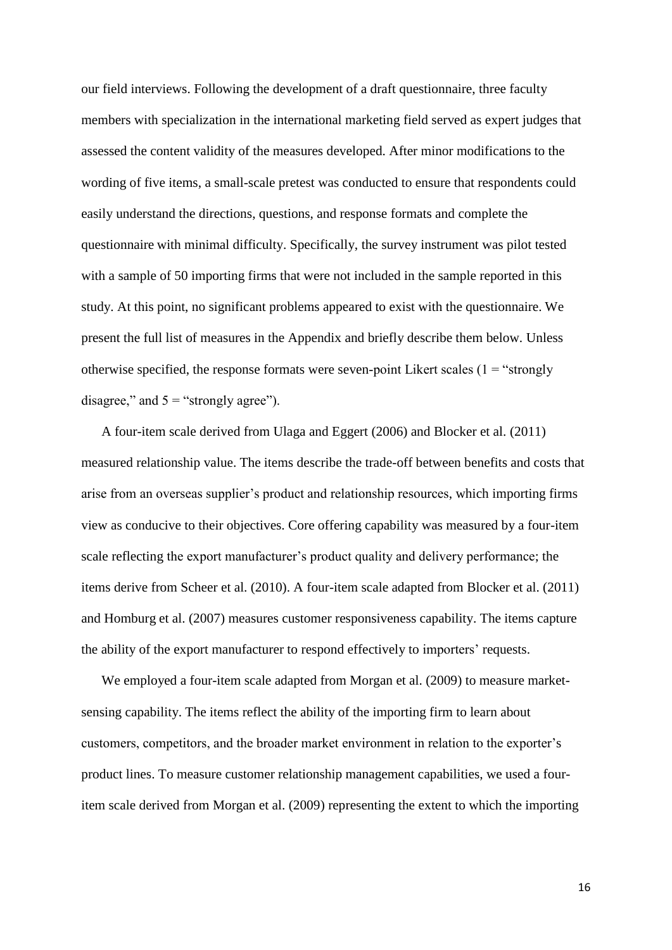our field interviews. Following the development of a draft questionnaire, three faculty members with specialization in the international marketing field served as expert judges that assessed the content validity of the measures developed. After minor modifications to the wording of five items, a small-scale pretest was conducted to ensure that respondents could easily understand the directions, questions, and response formats and complete the questionnaire with minimal difficulty. Specifically, the survey instrument was pilot tested with a sample of 50 importing firms that were not included in the sample reported in this study. At this point, no significant problems appeared to exist with the questionnaire. We present the full list of measures in the Appendix and briefly describe them below. Unless otherwise specified, the response formats were seven-point Likert scales  $(1 = "strongly$ disagree," and  $5 =$ "strongly agree").

 A four-item scale derived from Ulaga and Eggert (2006) and Blocker et al. (2011) measured relationship value. The items describe the trade-off between benefits and costs that arise from an overseas supplier's product and relationship resources, which importing firms view as conducive to their objectives. Core offering capability was measured by a four-item scale reflecting the export manufacturer's product quality and delivery performance; the items derive from Scheer et al. (2010). A four-item scale adapted from Blocker et al. (2011) and Homburg et al. (2007) measures customer responsiveness capability. The items capture the ability of the export manufacturer to respond effectively to importers' requests.

 We employed a four-item scale adapted from Morgan et al. (2009) to measure marketsensing capability. The items reflect the ability of the importing firm to learn about customers, competitors, and the broader market environment in relation to the exporter's product lines. To measure customer relationship management capabilities, we used a fouritem scale derived from Morgan et al. (2009) representing the extent to which the importing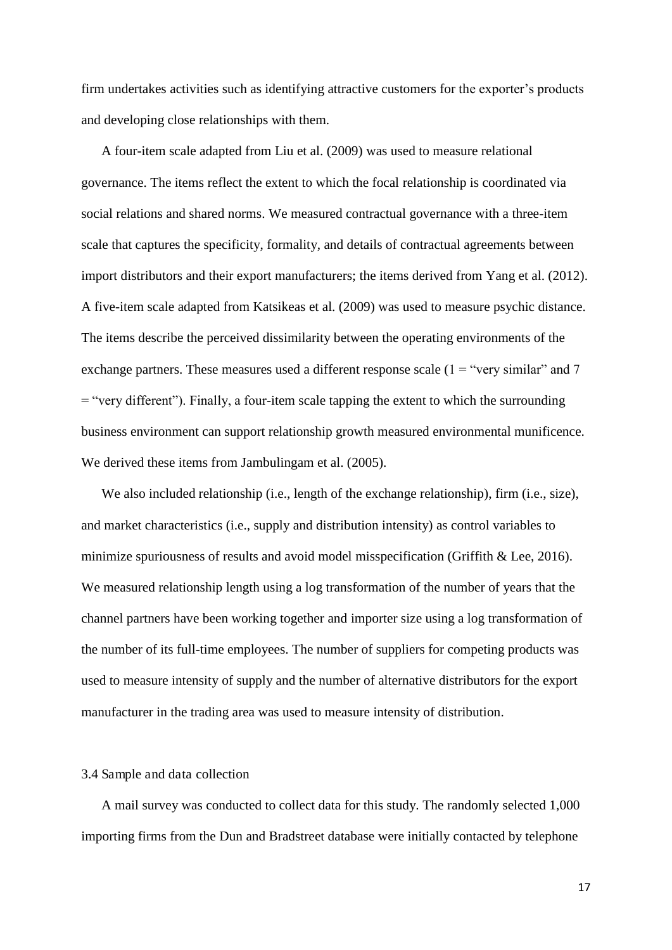firm undertakes activities such as identifying attractive customers for the exporter's products and developing close relationships with them.

 A four-item scale adapted from Liu et al. (2009) was used to measure relational governance. The items reflect the extent to which the focal relationship is coordinated via social relations and shared norms. We measured contractual governance with a three-item scale that captures the specificity, formality, and details of contractual agreements between import distributors and their export manufacturers; the items derived from Yang et al. (2012). A five-item scale adapted from Katsikeas et al. (2009) was used to measure psychic distance. The items describe the perceived dissimilarity between the operating environments of the exchange partners. These measures used a different response scale  $(1 = "very similar" and 7")$ = "very different"). Finally, a four-item scale tapping the extent to which the surrounding business environment can support relationship growth measured environmental munificence. We derived these items from Jambulingam et al.  $(2005)$ .

We also included relationship (i.e., length of the exchange relationship), firm (i.e., size), and market characteristics (i.e., supply and distribution intensity) as control variables to minimize spuriousness of results and avoid model misspecification (Griffith & Lee, 2016). We measured relationship length using a log transformation of the number of years that the channel partners have been working together and importer size using a log transformation of the number of its full-time employees. The number of suppliers for competing products was used to measure intensity of supply and the number of alternative distributors for the export manufacturer in the trading area was used to measure intensity of distribution.

#### 3.4 Sample and data collection

 A mail survey was conducted to collect data for this study. The randomly selected 1,000 importing firms from the Dun and Bradstreet database were initially contacted by telephone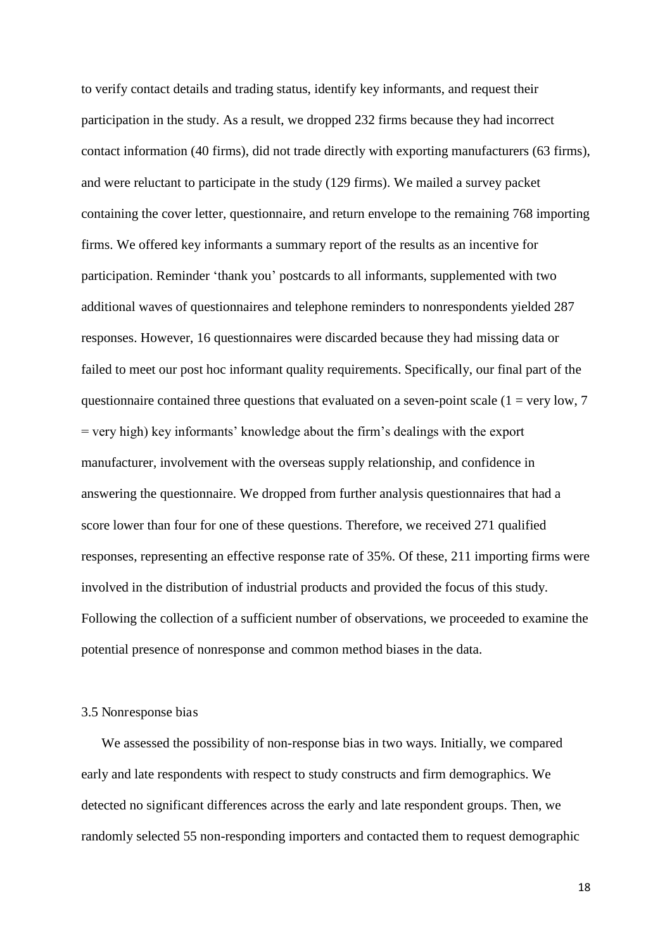to verify contact details and trading status, identify key informants, and request their participation in the study. As a result, we dropped 232 firms because they had incorrect contact information (40 firms), did not trade directly with exporting manufacturers (63 firms), and were reluctant to participate in the study (129 firms). We mailed a survey packet containing the cover letter, questionnaire, and return envelope to the remaining 768 importing firms. We offered key informants a summary report of the results as an incentive for participation. Reminder 'thank you' postcards to all informants, supplemented with two additional waves of questionnaires and telephone reminders to nonrespondents yielded 287 responses. However, 16 questionnaires were discarded because they had missing data or failed to meet our post hoc informant quality requirements. Specifically, our final part of the questionnaire contained three questions that evaluated on a seven-point scale  $(1 = \text{very low}, 7)$ = very high) key informants' knowledge about the firm's dealings with the export manufacturer, involvement with the overseas supply relationship, and confidence in answering the questionnaire. We dropped from further analysis questionnaires that had a score lower than four for one of these questions. Therefore, we received 271 qualified responses, representing an effective response rate of 35%. Of these, 211 importing firms were involved in the distribution of industrial products and provided the focus of this study. Following the collection of a sufficient number of observations, we proceeded to examine the potential presence of nonresponse and common method biases in the data.

#### 3.5 Nonresponse bias

 We assessed the possibility of non-response bias in two ways. Initially, we compared early and late respondents with respect to study constructs and firm demographics. We detected no significant differences across the early and late respondent groups. Then, we randomly selected 55 non-responding importers and contacted them to request demographic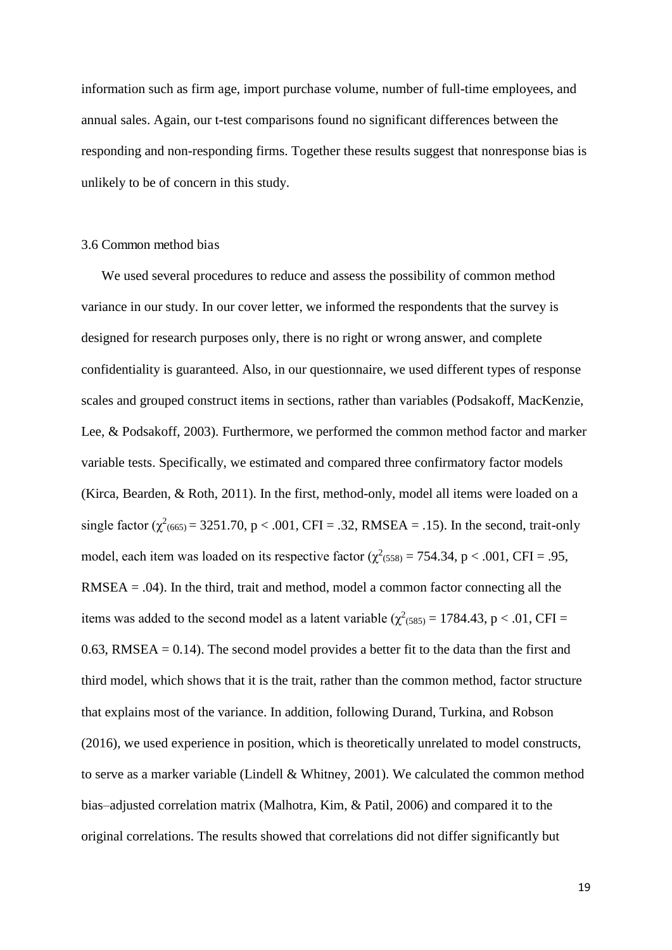information such as firm age, import purchase volume, number of full-time employees, and annual sales. Again, our t-test comparisons found no significant differences between the responding and non-responding firms. Together these results suggest that nonresponse bias is unlikely to be of concern in this study.

#### 3.6 Common method bias

 We used several procedures to reduce and assess the possibility of common method variance in our study. In our cover letter, we informed the respondents that the survey is designed for research purposes only, there is no right or wrong answer, and complete confidentiality is guaranteed. Also, in our questionnaire, we used different types of response scales and grouped construct items in sections, rather than variables (Podsakoff, MacKenzie, Lee, & Podsakoff, 2003). Furthermore, we performed the common method factor and marker variable tests. Specifically, we estimated and compared three confirmatory factor models (Kirca, Bearden, & Roth, 2011). In the first, method-only, model all items were loaded on a single factor ( $\chi^2$ <sub>(665)</sub> = 3251.70, p < .001, CFI = .32, RMSEA = .15). In the second, trait-only model, each item was loaded on its respective factor ( $\chi^2$ <sub>(558)</sub> = 754.34, p < .001, CFI = .95,  $RMSEA = .04$ ). In the third, trait and method, model a common factor connecting all the items was added to the second model as a latent variable ( $\chi^2$ <sub>(585)</sub> = 1784.43, p < .01, CFI = 0.63, RMSEA  $= 0.14$ ). The second model provides a better fit to the data than the first and third model, which shows that it is the trait, rather than the common method, factor structure that explains most of the variance. In addition, following Durand, Turkina, and Robson (2016), we used experience in position, which is theoretically unrelated to model constructs, to serve as a marker variable (Lindell & Whitney, 2001). We calculated the common method bias–adjusted correlation matrix (Malhotra, Kim, & Patil, 2006) and compared it to the original correlations. The results showed that correlations did not differ significantly but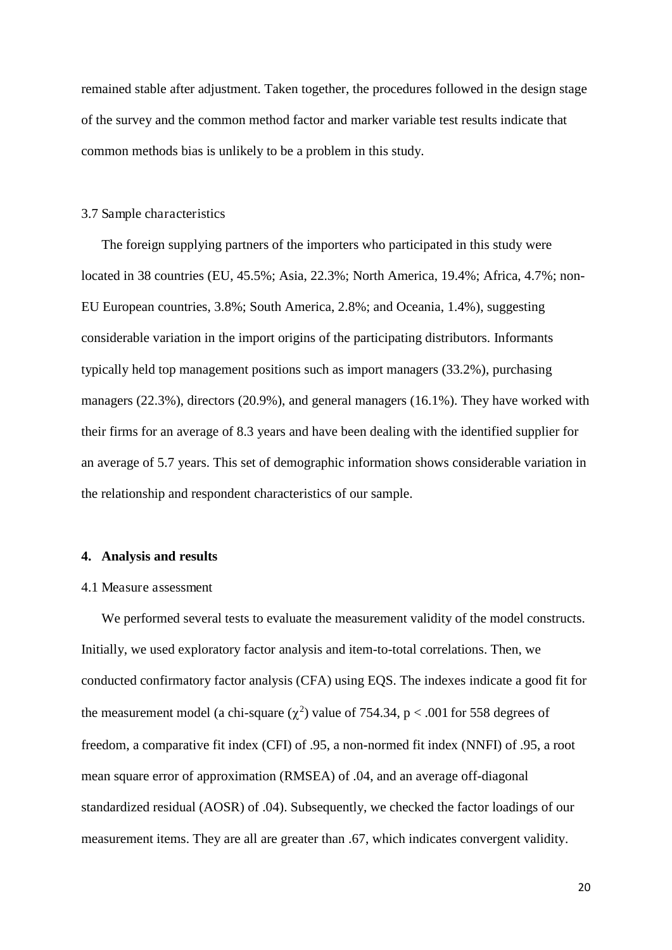remained stable after adjustment. Taken together, the procedures followed in the design stage of the survey and the common method factor and marker variable test results indicate that common methods bias is unlikely to be a problem in this study.

#### 3.7 Sample characteristics

 The foreign supplying partners of the importers who participated in this study were located in 38 countries (EU, 45.5%; Asia, 22.3%; North America, 19.4%; Africa, 4.7%; non-EU European countries, 3.8%; South America, 2.8%; and Oceania, 1.4%), suggesting considerable variation in the import origins of the participating distributors. Informants typically held top management positions such as import managers (33.2%), purchasing managers (22.3%), directors (20.9%), and general managers (16.1%). They have worked with their firms for an average of 8.3 years and have been dealing with the identified supplier for an average of 5.7 years. This set of demographic information shows considerable variation in the relationship and respondent characteristics of our sample.

#### **4. Analysis and results**

#### 4.1 Measure assessment

 We performed several tests to evaluate the measurement validity of the model constructs. Initially, we used exploratory factor analysis and item-to-total correlations. Then, we conducted confirmatory factor analysis (CFA) using EQS. The indexes indicate a good fit for the measurement model (a chi-square  $(\chi^2)$  value of 754.34, p < .001 for 558 degrees of freedom, a comparative fit index (CFI) of .95, a non-normed fit index (NNFI) of .95, a root mean square error of approximation (RMSEA) of .04, and an average off-diagonal standardized residual (AOSR) of .04). Subsequently, we checked the factor loadings of our measurement items. They are all are greater than .67, which indicates convergent validity.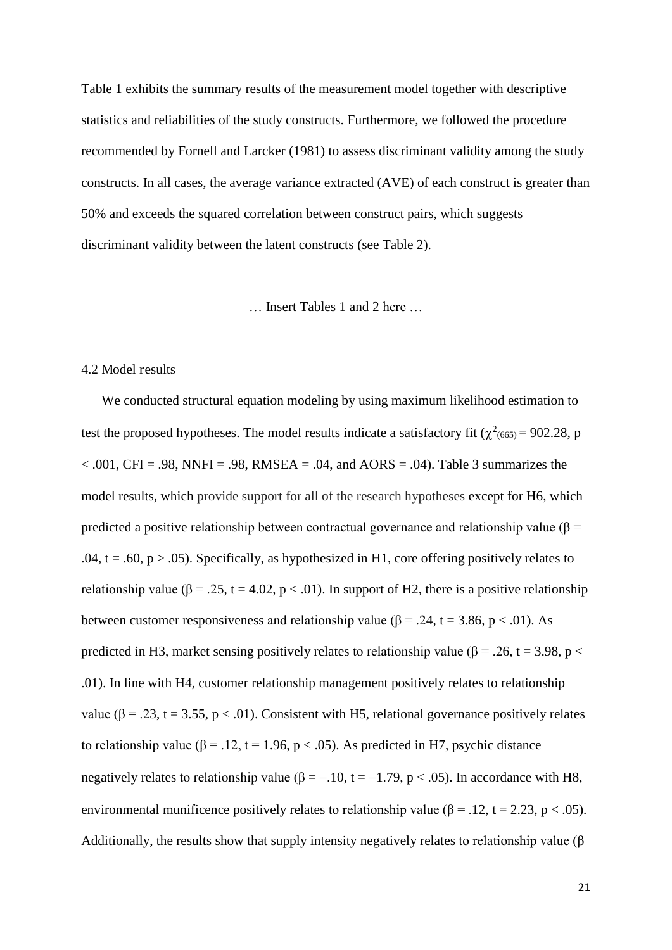Table 1 exhibits the summary results of the measurement model together with descriptive statistics and reliabilities of the study constructs. Furthermore, we followed the procedure recommended by Fornell and Larcker (1981) to assess discriminant validity among the study constructs. In all cases, the average variance extracted (AVE) of each construct is greater than 50% and exceeds the squared correlation between construct pairs, which suggests discriminant validity between the latent constructs (see Table 2).

… Insert Tables 1 and 2 here …

#### 4.2 Model results

 We conducted structural equation modeling by using maximum likelihood estimation to test the proposed hypotheses. The model results indicate a satisfactory fit ( $\chi^2$ <sub>(665)</sub> = 902.28, p  $< .001$ , CFI = .98, NNFI = .98, RMSEA = .04, and AORS = .04). Table 3 summarizes the model results, which provide support for all of the research hypotheses except for H6, which predicted a positive relationship between contractual governance and relationship value ( $\beta$  = .04, t = .60,  $p > .05$ ). Specifically, as hypothesized in H1, core offering positively relates to relationship value ( $\beta$  = .25, t = 4.02, p < .01). In support of H2, there is a positive relationship between customer responsiveness and relationship value ( $\beta$  = .24, t = 3.86, p < .01). As predicted in H3, market sensing positively relates to relationship value ( $\beta$  = .26, t = 3.98, p < .01). In line with H4, customer relationship management positively relates to relationship value ( $\beta$  = .23, t = 3.55, p < .01). Consistent with H5, relational governance positively relates to relationship value ( $\beta$  = .12, t = 1.96, p < .05). As predicted in H7, psychic distance negatively relates to relationship value ( $\beta = -1.10$ , t = -1.79, p < .05). In accordance with H8, environmental munificence positively relates to relationship value ( $\beta$  = .12, t = 2.23, p < .05). Additionally, the results show that supply intensity negatively relates to relationship value ( $\beta$ )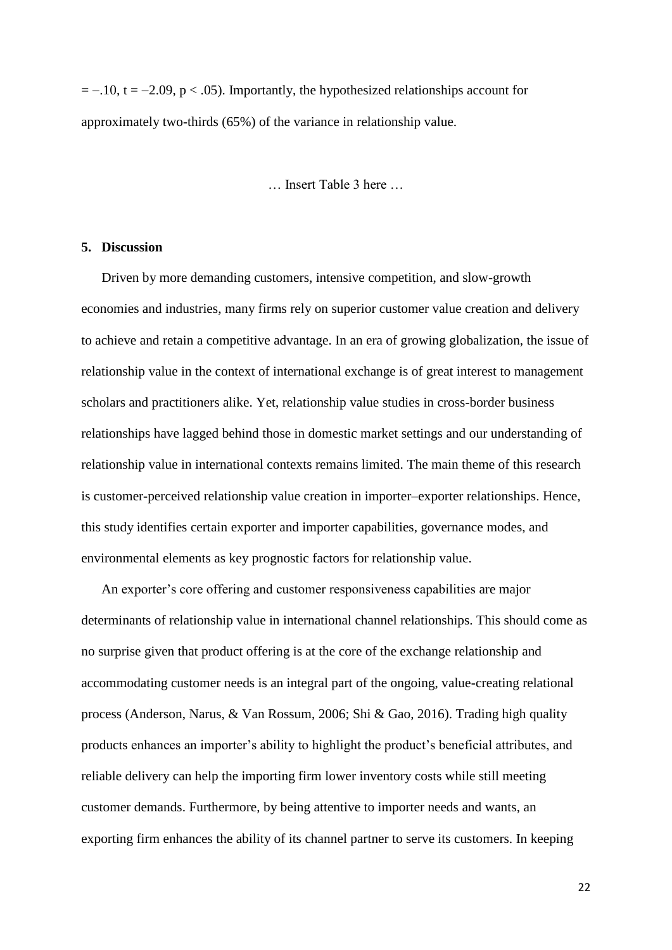$= -10$ ,  $t = -2.09$ ,  $p < .05$ ). Importantly, the hypothesized relationships account for approximately two-thirds (65%) of the variance in relationship value.

Insert Table 3 here

#### **5. Discussion**

 Driven by more demanding customers, intensive competition, and slow-growth economies and industries, many firms rely on superior customer value creation and delivery to achieve and retain a competitive advantage. In an era of growing globalization, the issue of relationship value in the context of international exchange is of great interest to management scholars and practitioners alike. Yet, relationship value studies in cross-border business relationships have lagged behind those in domestic market settings and our understanding of relationship value in international contexts remains limited. The main theme of this research is customer-perceived relationship value creation in importer–exporter relationships. Hence, this study identifies certain exporter and importer capabilities, governance modes, and environmental elements as key prognostic factors for relationship value.

 An exporter's core offering and customer responsiveness capabilities are major determinants of relationship value in international channel relationships. This should come as no surprise given that product offering is at the core of the exchange relationship and accommodating customer needs is an integral part of the ongoing, value-creating relational process (Anderson, Narus, & Van Rossum, 2006; Shi & Gao, 2016). Trading high quality products enhances an importer's ability to highlight the product's beneficial attributes, and reliable delivery can help the importing firm lower inventory costs while still meeting customer demands. Furthermore, by being attentive to importer needs and wants, an exporting firm enhances the ability of its channel partner to serve its customers. In keeping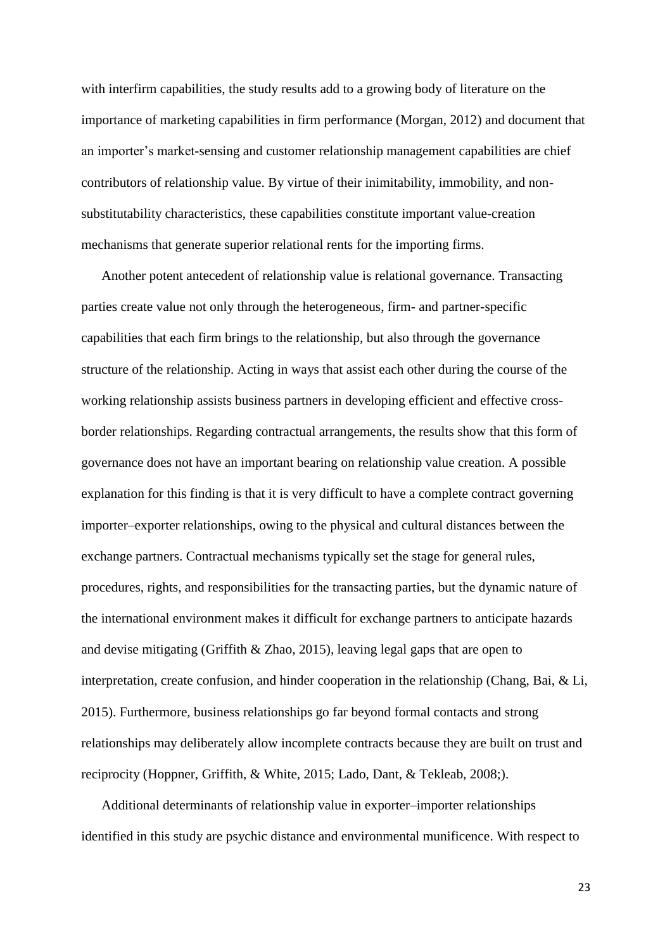with interfirm capabilities, the study results add to a growing body of literature on the importance of marketing capabilities in firm performance (Morgan, 2012) and document that an importer's market-sensing and customer relationship management capabilities are chief contributors of relationship value. By virtue of their inimitability, immobility, and nonsubstitutability characteristics, these capabilities constitute important value-creation mechanisms that generate superior relational rents for the importing firms.

 Another potent antecedent of relationship value is relational governance. Transacting parties create value not only through the heterogeneous, firm- and partner-specific capabilities that each firm brings to the relationship, but also through the governance structure of the relationship. Acting in ways that assist each other during the course of the working relationship assists business partners in developing efficient and effective crossborder relationships. Regarding contractual arrangements, the results show that this form of governance does not have an important bearing on relationship value creation. A possible explanation for this finding is that it is very difficult to have a complete contract governing importer–exporter relationships, owing to the physical and cultural distances between the exchange partners. Contractual mechanisms typically set the stage for general rules, procedures, rights, and responsibilities for the transacting parties, but the dynamic nature of the international environment makes it difficult for exchange partners to anticipate hazards and devise mitigating (Griffith & Zhao, 2015), leaving legal gaps that are open to interpretation, create confusion, and hinder cooperation in the relationship (Chang, Bai, & Li, 2015). Furthermore, business relationships go far beyond formal contacts and strong relationships may deliberately allow incomplete contracts because they are built on trust and reciprocity (Hoppner, Griffith, & White, 2015; Lado, Dant, & Tekleab, 2008;).

 Additional determinants of relationship value in exporter–importer relationships identified in this study are psychic distance and environmental munificence. With respect to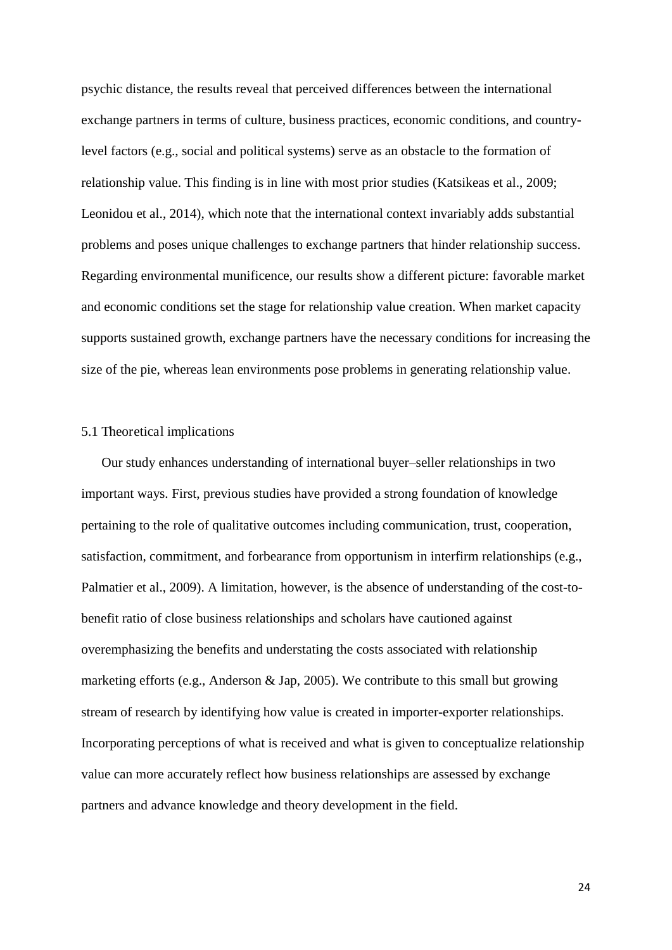psychic distance, the results reveal that perceived differences between the international exchange partners in terms of culture, business practices, economic conditions, and countrylevel factors (e.g., social and political systems) serve as an obstacle to the formation of relationship value. This finding is in line with most prior studies (Katsikeas et al., 2009; Leonidou et al., 2014), which note that the international context invariably adds substantial problems and poses unique challenges to exchange partners that hinder relationship success. Regarding environmental munificence, our results show a different picture: favorable market and economic conditions set the stage for relationship value creation. When market capacity supports sustained growth, exchange partners have the necessary conditions for increasing the size of the pie, whereas lean environments pose problems in generating relationship value.

#### 5.1 Theoretical implications

 Our study enhances understanding of international buyer–seller relationships in two important ways. First, previous studies have provided a strong foundation of knowledge pertaining to the role of qualitative outcomes including communication, trust, cooperation, satisfaction, commitment, and forbearance from opportunism in interfirm relationships (e.g., Palmatier et al., 2009). A limitation, however, is the absence of understanding of the cost-tobenefit ratio of close business relationships and scholars have cautioned against overemphasizing the benefits and understating the costs associated with relationship marketing efforts (e.g., Anderson & Jap, 2005). We contribute to this small but growing stream of research by identifying how value is created in importer-exporter relationships. Incorporating perceptions of what is received and what is given to conceptualize relationship value can more accurately reflect how business relationships are assessed by exchange partners and advance knowledge and theory development in the field.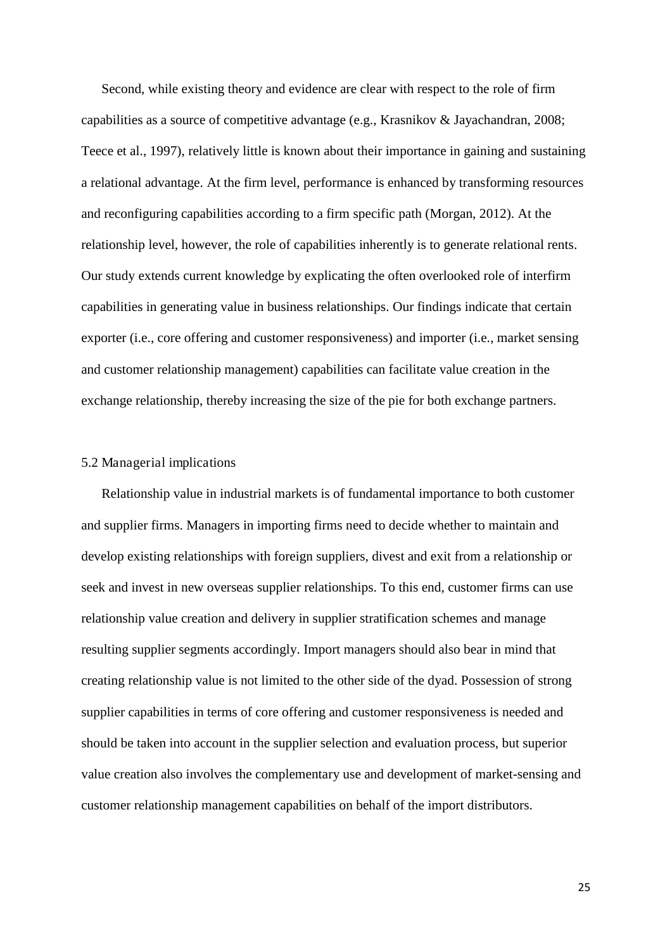Second, while existing theory and evidence are clear with respect to the role of firm capabilities as a source of competitive advantage (e.g., Krasnikov & Jayachandran, 2008; Teece et al., 1997), relatively little is known about their importance in gaining and sustaining a relational advantage. At the firm level, performance is enhanced by transforming resources and reconfiguring capabilities according to a firm specific path (Morgan, 2012). At the relationship level, however, the role of capabilities inherently is to generate relational rents. Our study extends current knowledge by explicating the often overlooked role of interfirm capabilities in generating value in business relationships. Our findings indicate that certain exporter (i.e., core offering and customer responsiveness) and importer (i.e., market sensing and customer relationship management) capabilities can facilitate value creation in the exchange relationship, thereby increasing the size of the pie for both exchange partners.

#### 5.2 Managerial implications

 Relationship value in industrial markets is of fundamental importance to both customer and supplier firms. Managers in importing firms need to decide whether to maintain and develop existing relationships with foreign suppliers, divest and exit from a relationship or seek and invest in new overseas supplier relationships. To this end, customer firms can use relationship value creation and delivery in supplier stratification schemes and manage resulting supplier segments accordingly. Import managers should also bear in mind that creating relationship value is not limited to the other side of the dyad. Possession of strong supplier capabilities in terms of core offering and customer responsiveness is needed and should be taken into account in the supplier selection and evaluation process, but superior value creation also involves the complementary use and development of market-sensing and customer relationship management capabilities on behalf of the import distributors.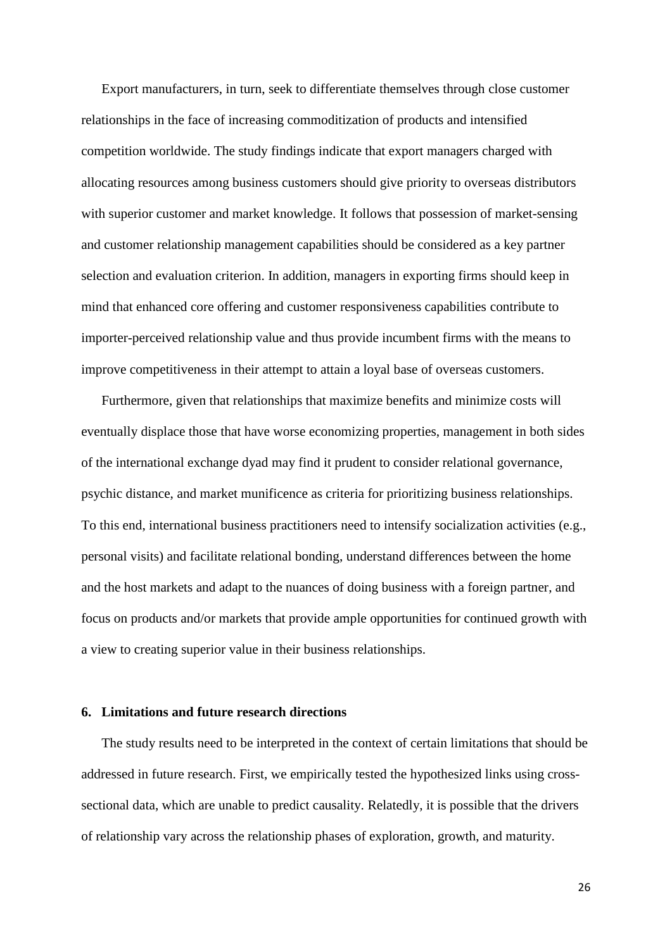Export manufacturers, in turn, seek to differentiate themselves through close customer relationships in the face of increasing commoditization of products and intensified competition worldwide. The study findings indicate that export managers charged with allocating resources among business customers should give priority to overseas distributors with superior customer and market knowledge. It follows that possession of market-sensing and customer relationship management capabilities should be considered as a key partner selection and evaluation criterion. In addition, managers in exporting firms should keep in mind that enhanced core offering and customer responsiveness capabilities contribute to importer-perceived relationship value and thus provide incumbent firms with the means to improve competitiveness in their attempt to attain a loyal base of overseas customers.

 Furthermore, given that relationships that maximize benefits and minimize costs will eventually displace those that have worse economizing properties, management in both sides of the international exchange dyad may find it prudent to consider relational governance, psychic distance, and market munificence as criteria for prioritizing business relationships. To this end, international business practitioners need to intensify socialization activities (e.g., personal visits) and facilitate relational bonding, understand differences between the home and the host markets and adapt to the nuances of doing business with a foreign partner, and focus on products and/or markets that provide ample opportunities for continued growth with a view to creating superior value in their business relationships.

#### **6. Limitations and future research directions**

 The study results need to be interpreted in the context of certain limitations that should be addressed in future research. First, we empirically tested the hypothesized links using crosssectional data, which are unable to predict causality. Relatedly, it is possible that the drivers of relationship vary across the relationship phases of exploration, growth, and maturity.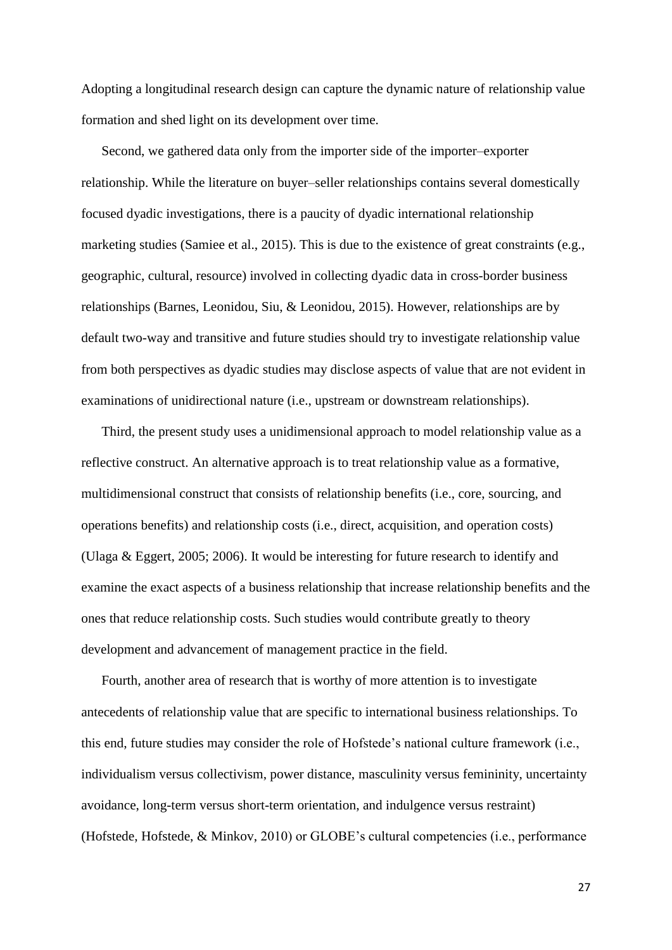Adopting a longitudinal research design can capture the dynamic nature of relationship value formation and shed light on its development over time.

 Second, we gathered data only from the importer side of the importer–exporter relationship. While the literature on buyer–seller relationships contains several domestically focused dyadic investigations, there is a paucity of dyadic international relationship marketing studies (Samiee et al., 2015). This is due to the existence of great constraints (e.g., geographic, cultural, resource) involved in collecting dyadic data in cross-border business relationships (Barnes, Leonidou, Siu, & Leonidou, 2015). However, relationships are by default two-way and transitive and future studies should try to investigate relationship value from both perspectives as dyadic studies may disclose aspects of value that are not evident in examinations of unidirectional nature (i.e., upstream or downstream relationships).

 Third, the present study uses a unidimensional approach to model relationship value as a reflective construct. An alternative approach is to treat relationship value as a formative, multidimensional construct that consists of relationship benefits (i.e., core, sourcing, and operations benefits) and relationship costs (i.e., direct, acquisition, and operation costs) (Ulaga & Eggert, 2005; 2006). It would be interesting for future research to identify and examine the exact aspects of a business relationship that increase relationship benefits and the ones that reduce relationship costs. Such studies would contribute greatly to theory development and advancement of management practice in the field.

 Fourth, another area of research that is worthy of more attention is to investigate antecedents of relationship value that are specific to international business relationships. To this end, future studies may consider the role of Hofstede's national culture framework (i.e., individualism versus collectivism, power distance, masculinity versus femininity, uncertainty avoidance, long-term versus short-term orientation, and indulgence versus restraint) (Hofstede, Hofstede, & Minkov, 2010) or GLOBE's cultural competencies (i.e., performance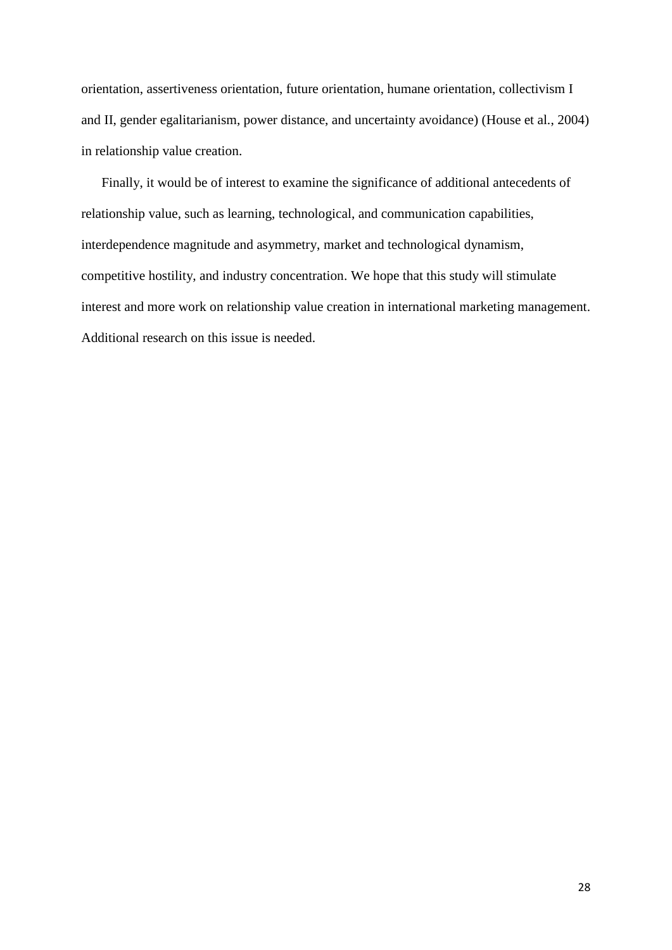orientation, assertiveness orientation, future orientation, humane orientation, collectivism I and II, gender egalitarianism, power distance, and uncertainty avoidance) (House et al., 2004) in relationship value creation.

 Finally, it would be of interest to examine the significance of additional antecedents of relationship value, such as learning, technological, and communication capabilities, interdependence magnitude and asymmetry, market and technological dynamism, competitive hostility, and industry concentration. We hope that this study will stimulate interest and more work on relationship value creation in international marketing management. Additional research on this issue is needed.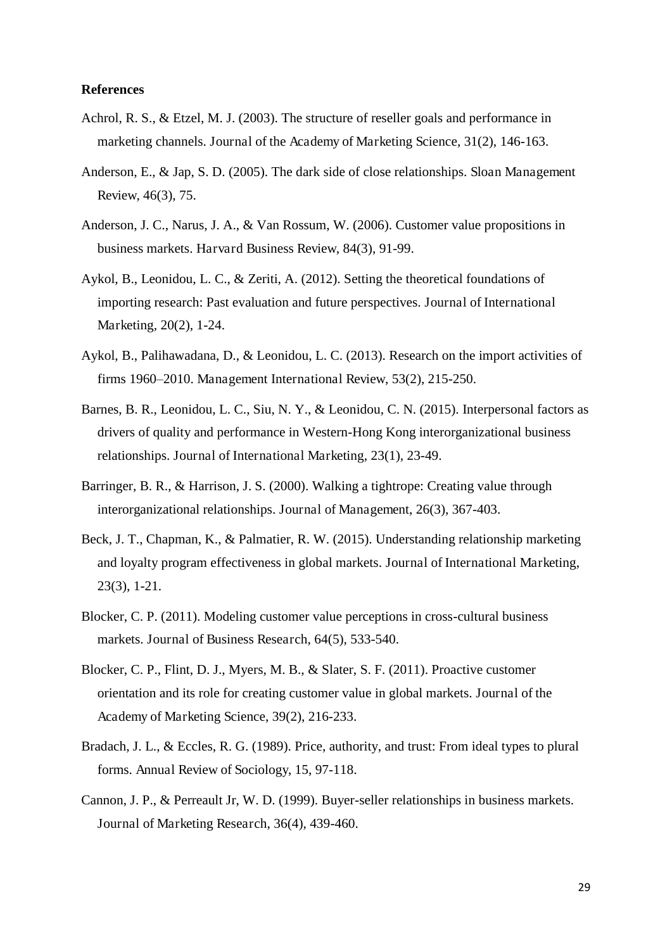#### **References**

- Achrol, R. S., & Etzel, M. J. (2003). The structure of reseller goals and performance in marketing channels. Journal of the Academy of Marketing Science, 31(2), 146-163.
- Anderson, E., & Jap, S. D. (2005). The dark side of close relationships. Sloan Management Review, 46(3), 75.
- Anderson, J. C., Narus, J. A., & Van Rossum, W. (2006). Customer value propositions in business markets. Harvard Business Review, 84(3), 91-99.
- Aykol, B., Leonidou, L. C., & Zeriti, A. (2012). Setting the theoretical foundations of importing research: Past evaluation and future perspectives. Journal of International Marketing, 20(2), 1-24.
- Aykol, B., Palihawadana, D., & Leonidou, L. C. (2013). Research on the import activities of firms 1960–2010. Management International Review, 53(2), 215-250.
- Barnes, B. R., Leonidou, L. C., Siu, N. Y., & Leonidou, C. N. (2015). Interpersonal factors as drivers of quality and performance in Western-Hong Kong interorganizational business relationships. Journal of International Marketing, 23(1), 23-49.
- Barringer, B. R., & Harrison, J. S. (2000). Walking a tightrope: Creating value through interorganizational relationships. Journal of Management, 26(3), 367-403.
- Beck, J. T., Chapman, K., & Palmatier, R. W. (2015). Understanding relationship marketing and loyalty program effectiveness in global markets. Journal of International Marketing, 23(3), 1-21.
- Blocker, C. P. (2011). Modeling customer value perceptions in cross-cultural business markets. Journal of Business Research, 64(5), 533-540.
- Blocker, C. P., Flint, D. J., Myers, M. B., & Slater, S. F. (2011). Proactive customer orientation and its role for creating customer value in global markets. Journal of the Academy of Marketing Science, 39(2), 216-233.
- Bradach, J. L., & Eccles, R. G. (1989). Price, authority, and trust: From ideal types to plural forms. Annual Review of Sociology, 15, 97-118.
- Cannon, J. P., & Perreault Jr, W. D. (1999). Buyer-seller relationships in business markets. Journal of Marketing Research, 36(4), 439-460.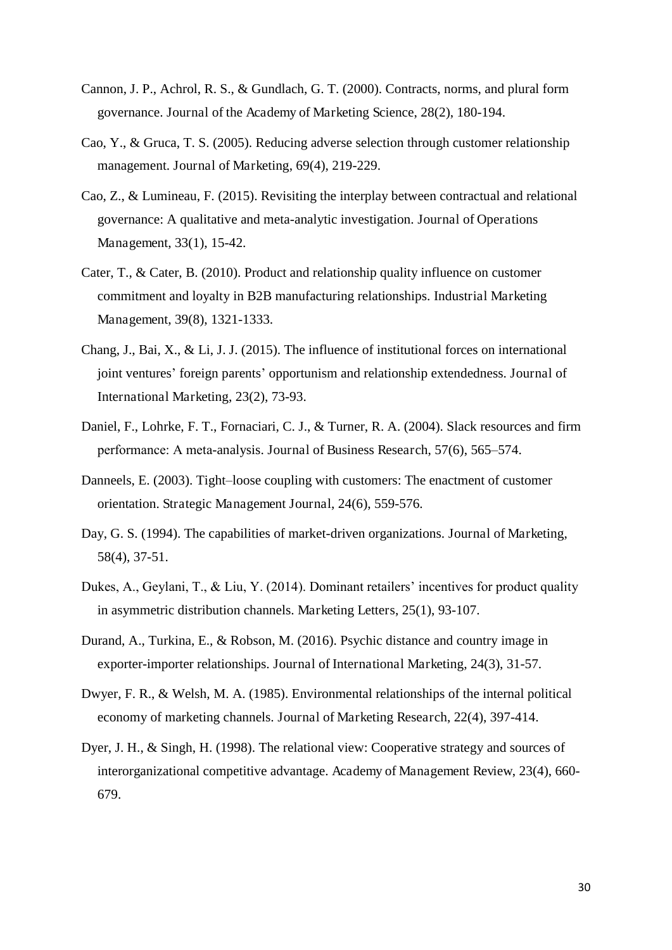- Cannon, J. P., Achrol, R. S., & Gundlach, G. T. (2000). Contracts, norms, and plural form governance. Journal of the Academy of Marketing Science, 28(2), 180-194.
- Cao, Y., & Gruca, T. S. (2005). Reducing adverse selection through customer relationship management. Journal of Marketing, 69(4), 219-229.
- Cao, Z., & Lumineau, F. (2015). Revisiting the interplay between contractual and relational governance: A qualitative and meta-analytic investigation. Journal of Operations Management, 33(1), 15-42.
- Cater, T., & Cater, B. (2010). Product and relationship quality influence on customer commitment and loyalty in B2B manufacturing relationships. Industrial Marketing Management, 39(8), 1321-1333.
- Chang, J., Bai, X., & Li, J. J. (2015). The influence of institutional forces on international joint ventures' foreign parents' opportunism and relationship extendedness. Journal of International Marketing, 23(2), 73-93.
- Daniel, F., Lohrke, F. T., Fornaciari, C. J., & Turner, R. A. (2004). Slack resources and firm performance: A meta-analysis. Journal of Business Research, 57(6), 565–574.
- Danneels, E. (2003). Tight–loose coupling with customers: The enactment of customer orientation. Strategic Management Journal, 24(6), 559-576.
- Day, G. S. (1994). The capabilities of market-driven organizations. Journal of Marketing, 58(4), 37-51.
- Dukes, A., Geylani, T., & Liu, Y. (2014). Dominant retailers' incentives for product quality in asymmetric distribution channels. Marketing Letters, 25(1), 93-107.
- Durand, A., Turkina, E., & Robson, M. (2016). Psychic distance and country image in exporter-importer relationships. Journal of International Marketing, 24(3), 31-57.
- Dwyer, F. R., & Welsh, M. A. (1985). Environmental relationships of the internal political economy of marketing channels. Journal of Marketing Research, 22(4), 397-414.
- Dyer, J. H., & Singh, H. (1998). The relational view: Cooperative strategy and sources of interorganizational competitive advantage. Academy of Management Review, 23(4), 660- 679.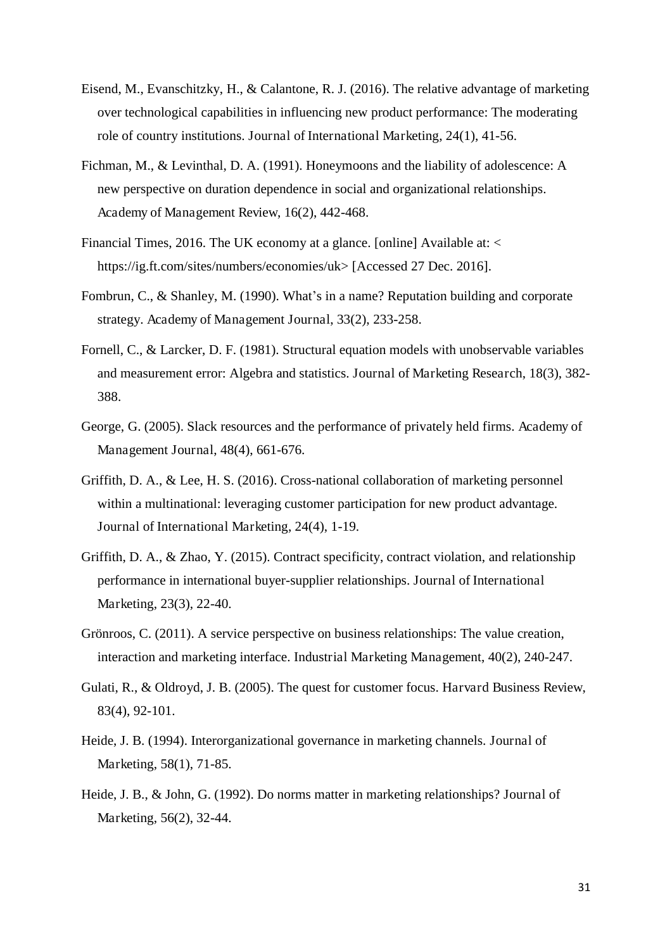- Eisend, M., Evanschitzky, H., & Calantone, R. J. (2016). The relative advantage of marketing over technological capabilities in influencing new product performance: The moderating role of country institutions. Journal of International Marketing, 24(1), 41-56.
- Fichman, M., & Levinthal, D. A. (1991). Honeymoons and the liability of adolescence: A new perspective on duration dependence in social and organizational relationships. Academy of Management Review, 16(2), 442-468.
- Financial Times, 2016. The UK economy at a glance. [online] Available at: < https://ig.ft.com/sites/numbers/economies/uk> [Accessed 27 Dec. 2016].
- Fombrun, C., & Shanley, M. (1990). What's in a name? Reputation building and corporate strategy. Academy of Management Journal, 33(2), 233-258.
- Fornell, C., & Larcker, D. F. (1981). Structural equation models with unobservable variables and measurement error: Algebra and statistics. Journal of Marketing Research, 18(3), 382- 388.
- George, G. (2005). Slack resources and the performance of privately held firms. Academy of Management Journal, 48(4), 661-676.
- Griffith, D. A., & Lee, H. S. (2016). Cross-national collaboration of marketing personnel within a multinational: leveraging customer participation for new product advantage. Journal of International Marketing, 24(4), 1-19.
- Griffith, D. A., & Zhao, Y. (2015). Contract specificity, contract violation, and relationship performance in international buyer-supplier relationships. Journal of International Marketing, 23(3), 22-40.
- Grönroos, C. (2011). A service perspective on business relationships: The value creation, interaction and marketing interface. Industrial Marketing Management, 40(2), 240-247.
- Gulati, R., & Oldroyd, J. B. (2005). The quest for customer focus. Harvard Business Review, 83(4), 92-101.
- Heide, J. B. (1994). Interorganizational governance in marketing channels. Journal of Marketing, 58(1), 71-85.
- Heide, J. B., & John, G. (1992). Do norms matter in marketing relationships? Journal of Marketing, 56(2), 32-44.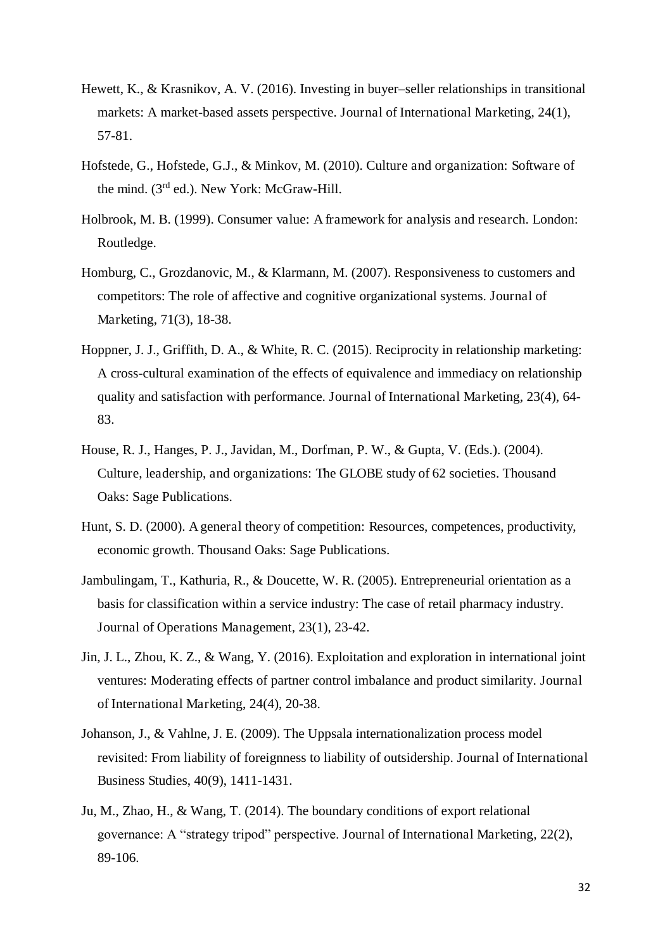- Hewett, K., & Krasnikov, A. V. (2016). Investing in buyer–seller relationships in transitional markets: A market-based assets perspective. Journal of International Marketing, 24(1), 57-81.
- Hofstede, G., Hofstede, G.J., & Minkov, M. (2010). Culture and organization: Software of the mind. (3<sup>rd</sup> ed.). New York: McGraw-Hill.
- Holbrook, M. B. (1999). Consumer value: A framework for analysis and research. London: Routledge.
- Homburg, C., Grozdanovic, M., & Klarmann, M. (2007). Responsiveness to customers and competitors: The role of affective and cognitive organizational systems. Journal of Marketing, 71(3), 18-38.
- Hoppner, J. J., Griffith, D. A., & White, R. C. (2015). Reciprocity in relationship marketing: A cross-cultural examination of the effects of equivalence and immediacy on relationship quality and satisfaction with performance. Journal of International Marketing, 23(4), 64- 83.
- House, R. J., Hanges, P. J., Javidan, M., Dorfman, P. W., & Gupta, V. (Eds.). (2004). Culture, leadership, and organizations: The GLOBE study of 62 societies. Thousand Oaks: Sage Publications.
- Hunt, S. D. (2000). A general theory of competition: Resources, competences, productivity, economic growth. Thousand Oaks: Sage Publications.
- Jambulingam, T., Kathuria, R., & Doucette, W. R. (2005). Entrepreneurial orientation as a basis for classification within a service industry: The case of retail pharmacy industry. Journal of Operations Management, 23(1), 23-42.
- Jin, J. L., Zhou, K. Z., & Wang, Y. (2016). Exploitation and exploration in international joint ventures: Moderating effects of partner control imbalance and product similarity. Journal of International Marketing, 24(4), 20-38.
- Johanson, J., & Vahlne, J. E. (2009). The Uppsala internationalization process model revisited: From liability of foreignness to liability of outsidership. Journal of International Business Studies, 40(9), 1411-1431.
- Ju, M., Zhao, H., & Wang, T. (2014). The boundary conditions of export relational governance: A "strategy tripod" perspective. Journal of International Marketing, 22(2), 89-106.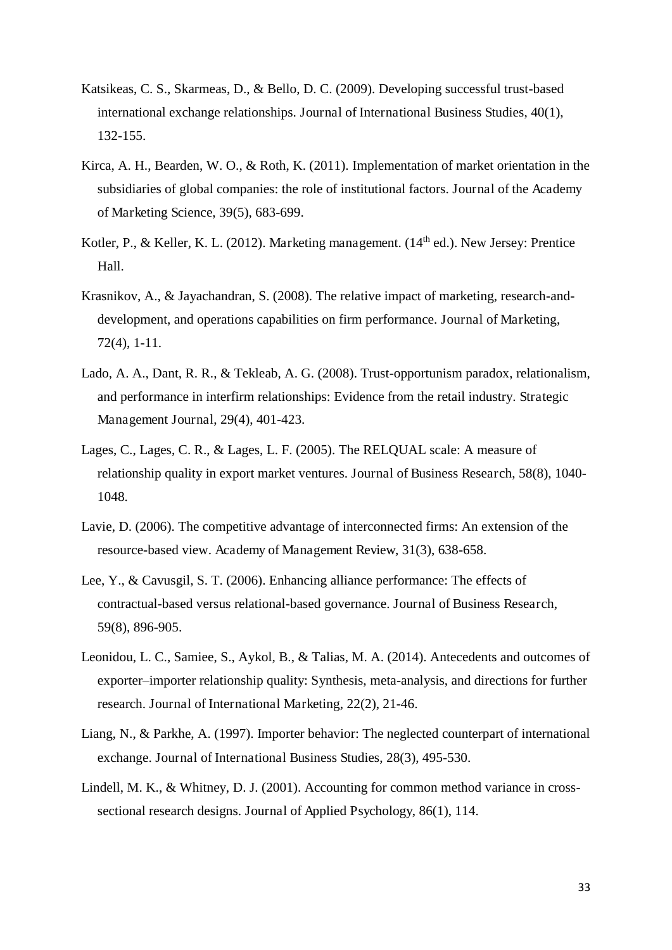- Katsikeas, C. S., Skarmeas, D., & Bello, D. C. (2009). Developing successful trust-based international exchange relationships. Journal of International Business Studies, 40(1), 132-155.
- Kirca, A. H., Bearden, W. O., & Roth, K. (2011). Implementation of market orientation in the subsidiaries of global companies: the role of institutional factors. Journal of the Academy of Marketing Science, 39(5), 683-699.
- Kotler, P., & Keller, K. L. (2012). Marketing management.  $(14<sup>th</sup>$ ed.). New Jersey: Prentice Hall.
- Krasnikov, A., & Jayachandran, S. (2008). The relative impact of marketing, research-anddevelopment, and operations capabilities on firm performance. Journal of Marketing, 72(4), 1-11.
- Lado, A. A., Dant, R. R., & Tekleab, A. G. (2008). Trust-opportunism paradox, relationalism, and performance in interfirm relationships: Evidence from the retail industry. Strategic Management Journal, 29(4), 401-423.
- Lages, C., Lages, C. R., & Lages, L. F. (2005). The RELQUAL scale: A measure of relationship quality in export market ventures. Journal of Business Research, 58(8), 1040- 1048.
- Lavie, D. (2006). The competitive advantage of interconnected firms: An extension of the resource-based view. Academy of Management Review, 31(3), 638-658.
- Lee, Y., & Cavusgil, S. T. (2006). Enhancing alliance performance: The effects of contractual-based versus relational-based governance. Journal of Business Research, 59(8), 896-905.
- Leonidou, L. C., Samiee, S., Aykol, B., & Talias, M. A. (2014). Antecedents and outcomes of exporter–importer relationship quality: Synthesis, meta-analysis, and directions for further research. Journal of International Marketing, 22(2), 21-46.
- Liang, N., & Parkhe, A. (1997). Importer behavior: The neglected counterpart of international exchange. Journal of International Business Studies, 28(3), 495-530.
- Lindell, M. K., & Whitney, D. J. (2001). Accounting for common method variance in crosssectional research designs. Journal of Applied Psychology, 86(1), 114.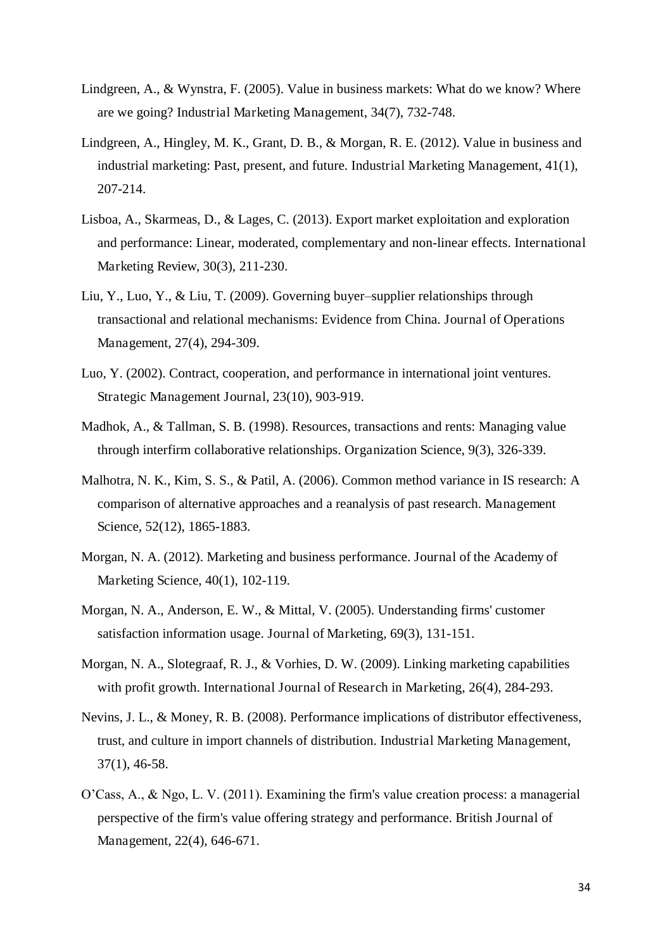- Lindgreen, A., & Wynstra, F. (2005). Value in business markets: What do we know? Where are we going? Industrial Marketing Management, 34(7), 732-748.
- Lindgreen, A., Hingley, M. K., Grant, D. B., & Morgan, R. E. (2012). Value in business and industrial marketing: Past, present, and future. Industrial Marketing Management, 41(1), 207-214.
- Lisboa, A., Skarmeas, D., & Lages, C. (2013). Export market exploitation and exploration and performance: Linear, moderated, complementary and non-linear effects. International Marketing Review, 30(3), 211-230.
- Liu, Y., Luo, Y., & Liu, T. (2009). Governing buyer–supplier relationships through transactional and relational mechanisms: Evidence from China. Journal of Operations Management, 27(4), 294-309.
- Luo, Y. (2002). Contract, cooperation, and performance in international joint ventures. Strategic Management Journal, 23(10), 903-919.
- Madhok, A., & Tallman, S. B. (1998). Resources, transactions and rents: Managing value through interfirm collaborative relationships. Organization Science, 9(3), 326-339.
- Malhotra, N. K., Kim, S. S., & Patil, A. (2006). Common method variance in IS research: A comparison of alternative approaches and a reanalysis of past research. Management Science, 52(12), 1865-1883.
- Morgan, N. A. (2012). Marketing and business performance. Journal of the Academy of Marketing Science, 40(1), 102-119.
- Morgan, N. A., Anderson, E. W., & Mittal, V. (2005). Understanding firms' customer satisfaction information usage. Journal of Marketing, 69(3), 131-151.
- Morgan, N. A., Slotegraaf, R. J., & Vorhies, D. W. (2009). Linking marketing capabilities with profit growth. International Journal of Research in Marketing, 26(4), 284-293.
- Nevins, J. L., & Money, R. B. (2008). Performance implications of distributor effectiveness, trust, and culture in import channels of distribution. Industrial Marketing Management, 37(1), 46-58.
- O'Cass, A., & Ngo, L. V. (2011). Examining the firm's value creation process: a managerial perspective of the firm's value offering strategy and performance. British Journal of Management, 22(4), 646-671.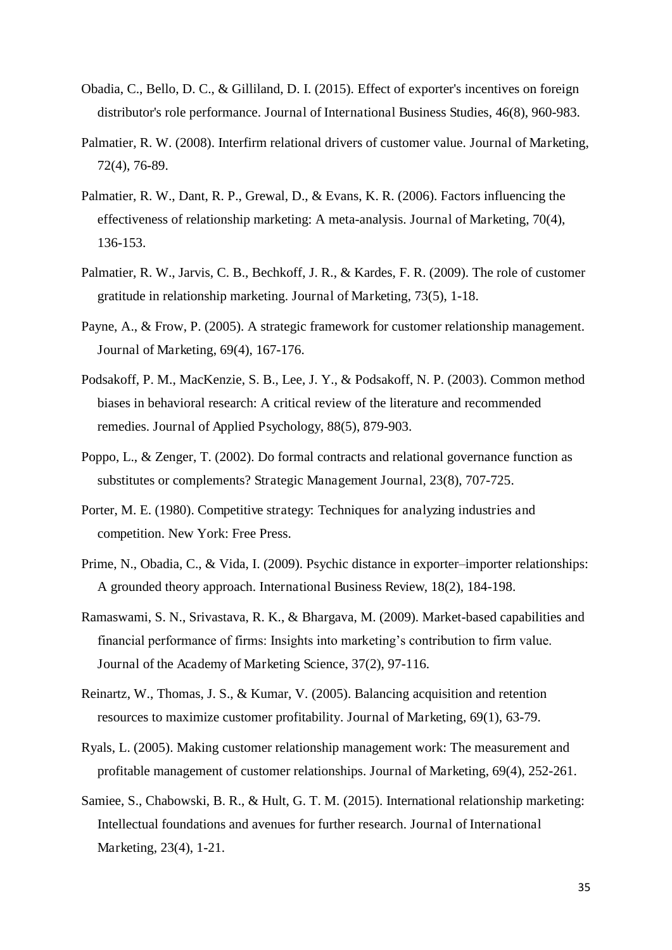- Obadia, C., Bello, D. C., & Gilliland, D. I. (2015). Effect of exporter's incentives on foreign distributor's role performance. Journal of International Business Studies, 46(8), 960-983.
- Palmatier, R. W. (2008). Interfirm relational drivers of customer value. Journal of Marketing, 72(4), 76-89.
- Palmatier, R. W., Dant, R. P., Grewal, D., & Evans, K. R. (2006). Factors influencing the effectiveness of relationship marketing: A meta-analysis. Journal of Marketing, 70(4), 136-153.
- Palmatier, R. W., Jarvis, C. B., Bechkoff, J. R., & Kardes, F. R. (2009). The role of customer gratitude in relationship marketing. Journal of Marketing, 73(5), 1-18.
- Payne, A., & Frow, P. (2005). A strategic framework for customer relationship management. Journal of Marketing, 69(4), 167-176.
- Podsakoff, P. M., MacKenzie, S. B., Lee, J. Y., & Podsakoff, N. P. (2003). Common method biases in behavioral research: A critical review of the literature and recommended remedies. Journal of Applied Psychology, 88(5), 879-903.
- Poppo, L., & Zenger, T. (2002). Do formal contracts and relational governance function as substitutes or complements? Strategic Management Journal, 23(8), 707-725.
- Porter, M. E. (1980). Competitive strategy: Techniques for analyzing industries and competition. New York: Free Press.
- Prime, N., Obadia, C., & Vida, I. (2009). Psychic distance in exporter–importer relationships: A grounded theory approach. International Business Review, 18(2), 184-198.
- Ramaswami, S. N., Srivastava, R. K., & Bhargava, M. (2009). Market-based capabilities and financial performance of firms: Insights into marketing's contribution to firm value. Journal of the Academy of Marketing Science, 37(2), 97-116.
- Reinartz, W., Thomas, J. S., & Kumar, V. (2005). Balancing acquisition and retention resources to maximize customer profitability. Journal of Marketing, 69(1), 63-79.
- Ryals, L. (2005). Making customer relationship management work: The measurement and profitable management of customer relationships. Journal of Marketing, 69(4), 252-261.
- Samiee, S., Chabowski, B. R., & Hult, G. T. M. (2015). International relationship marketing: Intellectual foundations and avenues for further research. Journal of International Marketing, 23(4), 1-21.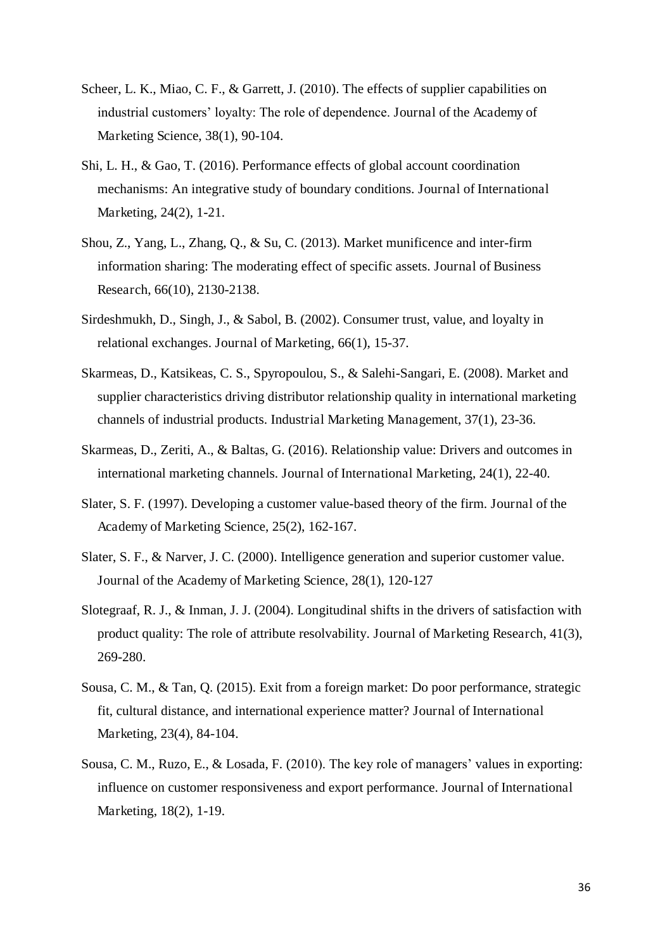- Scheer, L. K., Miao, C. F., & Garrett, J. (2010). The effects of supplier capabilities on industrial customers' loyalty: The role of dependence. Journal of the Academy of Marketing Science, 38(1), 90-104.
- Shi, L. H., & Gao, T. (2016). Performance effects of global account coordination mechanisms: An integrative study of boundary conditions. Journal of International Marketing, 24(2), 1-21.
- Shou, Z., Yang, L., Zhang, Q., & Su, C. (2013). Market munificence and inter-firm information sharing: The moderating effect of specific assets. Journal of Business Research, 66(10), 2130-2138.
- Sirdeshmukh, D., Singh, J., & Sabol, B. (2002). Consumer trust, value, and loyalty in relational exchanges. Journal of Marketing, 66(1), 15-37.
- Skarmeas, D., Katsikeas, C. S., Spyropoulou, S., & Salehi-Sangari, E. (2008). Market and supplier characteristics driving distributor relationship quality in international marketing channels of industrial products. Industrial Marketing Management, 37(1), 23-36.
- Skarmeas, D., Zeriti, A., & Baltas, G. (2016). Relationship value: Drivers and outcomes in international marketing channels. Journal of International Marketing, 24(1), 22-40.
- Slater, S. F. (1997). Developing a customer value-based theory of the firm. Journal of the Academy of Marketing Science, 25(2), 162-167.
- Slater, S. F., & Narver, J. C. (2000). Intelligence generation and superior customer value. Journal of the Academy of Marketing Science, 28(1), 120-127
- Slotegraaf, R. J., & Inman, J. J. (2004). Longitudinal shifts in the drivers of satisfaction with product quality: The role of attribute resolvability. Journal of Marketing Research, 41(3), 269-280.
- Sousa, C. M., & Tan, Q. (2015). Exit from a foreign market: Do poor performance, strategic fit, cultural distance, and international experience matter? Journal of International Marketing, 23(4), 84-104.
- Sousa, C. M., Ruzo, E., & Losada, F. (2010). The key role of managers' values in exporting: influence on customer responsiveness and export performance. Journal of International Marketing, 18(2), 1-19.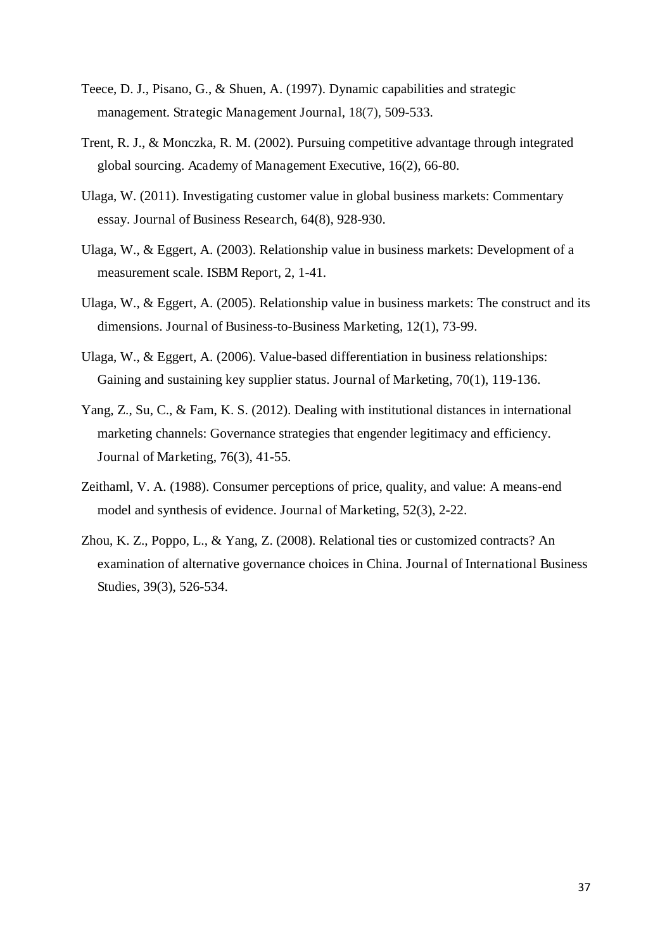- Teece, D. J., Pisano, G., & Shuen, A. (1997). Dynamic capabilities and strategic management. Strategic Management Journal, 18(7), 509-533.
- Trent, R. J., & Monczka, R. M. (2002). Pursuing competitive advantage through integrated global sourcing. Academy of Management Executive, 16(2), 66-80.
- Ulaga, W. (2011). Investigating customer value in global business markets: Commentary essay. Journal of Business Research, 64(8), 928-930.
- Ulaga, W., & Eggert, A. (2003). Relationship value in business markets: Development of a measurement scale. ISBM Report, 2, 1-41.
- Ulaga, W., & Eggert, A. (2005). Relationship value in business markets: The construct and its dimensions. Journal of Business-to-Business Marketing, 12(1), 73-99.
- Ulaga, W., & Eggert, A. (2006). Value-based differentiation in business relationships: Gaining and sustaining key supplier status. Journal of Marketing, 70(1), 119-136.
- Yang, Z., Su, C., & Fam, K. S. (2012). Dealing with institutional distances in international marketing channels: Governance strategies that engender legitimacy and efficiency. Journal of Marketing, 76(3), 41-55.
- Zeithaml, V. A. (1988). Consumer perceptions of price, quality, and value: A means-end model and synthesis of evidence. Journal of Marketing, 52(3), 2-22.
- Zhou, K. Z., Poppo, L., & Yang, Z. (2008). Relational ties or customized contracts? An examination of alternative governance choices in China. Journal of International Business Studies, 39(3), 526-534.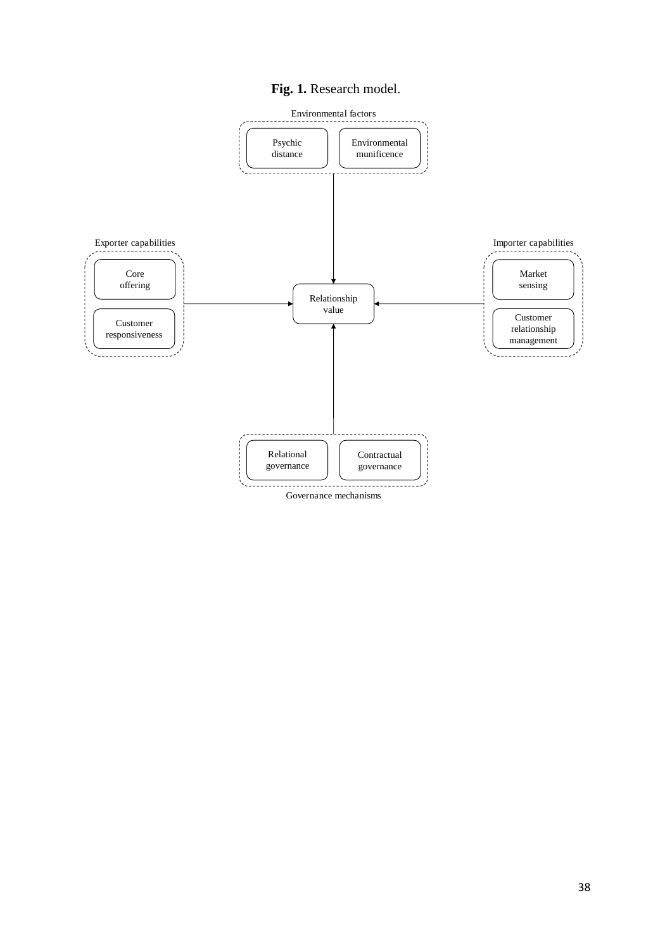### **Fig. 1.** Research model.

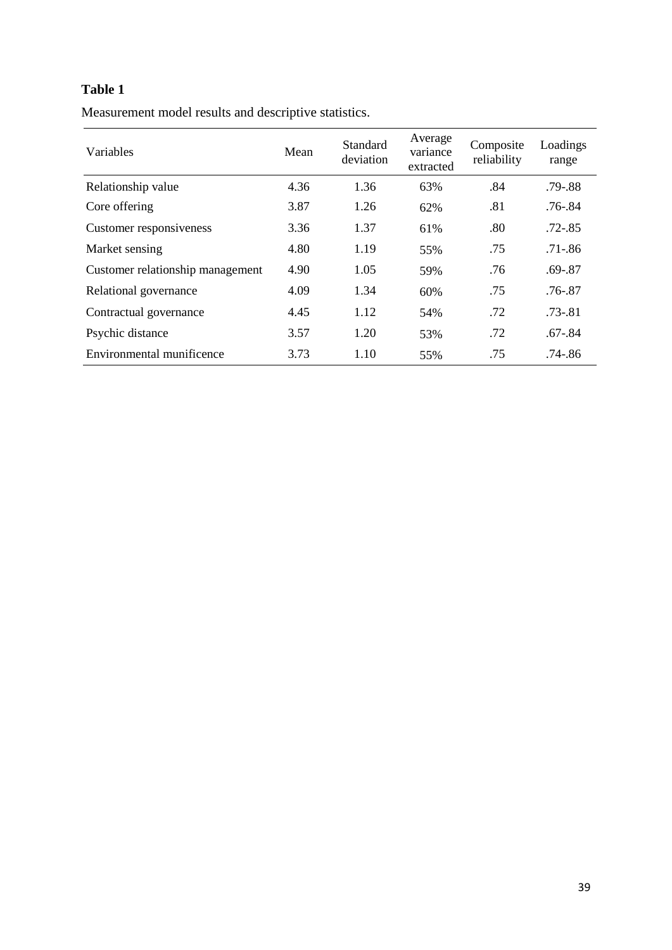# **Table 1**

Measurement model results and descriptive statistics.

| Variables                        | Mean | Standard<br>deviation | Average<br>variance<br>extracted |     | Loadings<br>range |
|----------------------------------|------|-----------------------|----------------------------------|-----|-------------------|
| Relationship value               | 4.36 | 1.36                  | 63%                              | .84 | $.79 - .88$       |
| Core offering                    | 3.87 | 1.26                  | 62%                              | .81 | $.76 - .84$       |
| Customer responsiveness          | 3.36 | 1.37                  | 61%                              | .80 | $.72 - .85$       |
| Market sensing                   | 4.80 | 1.19                  | 55%                              | .75 | $.71 - .86$       |
| Customer relationship management | 4.90 | 1.05                  | 59%                              | .76 | $.69 - .87$       |
| Relational governance            | 4.09 | 1.34                  | 60%                              | .75 | .76-.87           |
| Contractual governance           | 4.45 | 1.12                  | 54%                              | .72 | $.73 - .81$       |
| Psychic distance                 | 3.57 | 1.20                  | 53%                              | .72 | $.67 - .84$       |
| Environmental munificence        | 3.73 | 1.10                  | 55%                              | .75 | .74-.86           |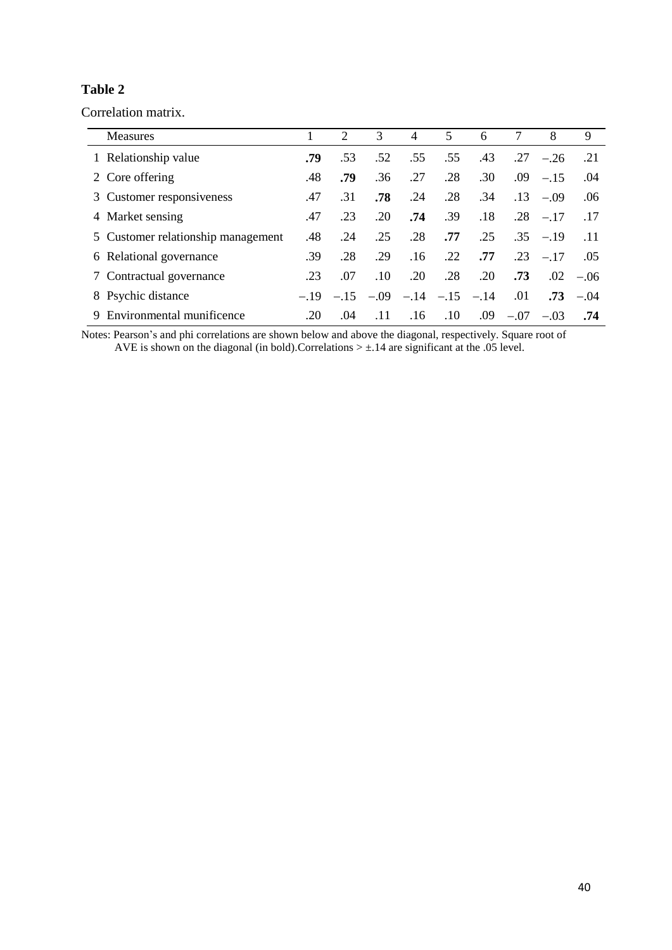## **Table 2**

Correlation matrix.

| Measures                           |        | 2      | 3      | 4      | 5      | 6      | 7      | 8          | 9      |
|------------------------------------|--------|--------|--------|--------|--------|--------|--------|------------|--------|
| 1 Relationship value               | .79    | .53    | .52    | .55    | .55    | .43    | .27    | $-.26$     | .21    |
| 2 Core offering                    | .48    | .79    | .36    | .27    | .28    | .30    | .09    | $-.15$     | .04    |
| 3 Customer responsiveness          | .47    | .31    | .78    | .24    | .28    | .34    | .13    | $-.09$     | .06    |
| 4 Market sensing                   | .47    | .23    | .20    | .74    | .39    | .18    | .28    | $-.17$     | .17    |
| 5 Customer relationship management | .48    | .24    | .25    | .28    | .77    | .25    |        | $.35 - 19$ | .11    |
| 6 Relational governance            | .39    | .28    | .29    | .16    | .22    | .77    | .23    | $-.17$     | .05    |
| 7 Contractual governance           | .23    | .07    | .10    | .20    | .28    | .20    | .73    | $.02\,$    | $-.06$ |
| 8 Psychic distance                 | $-.19$ | $-.15$ | $-.09$ | $-.14$ | $-.15$ | $-.14$ | .01    | .73        | $-.04$ |
| Environmental munificence<br>9     | .20    | .04    | .11    | .16    | .10    | .09    | $-.07$ | $-.03$     | .74    |

Notes: Pearson's and phi correlations are shown below and above the diagonal, respectively. Square root of AVE is shown on the diagonal (in bold).Correlations  $> \pm .14$  are significant at the .05 level.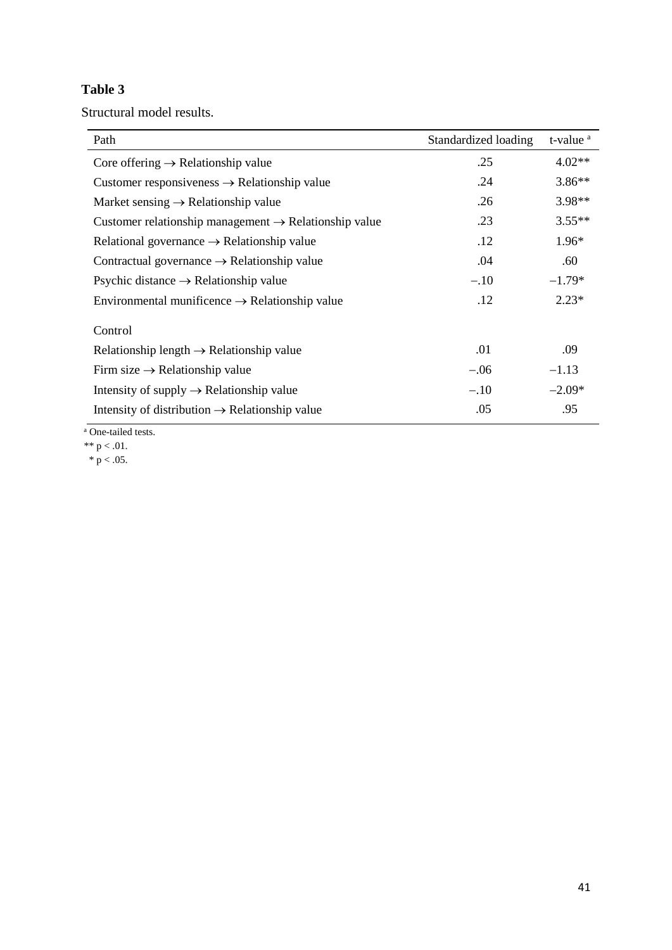# **Table 3**

Structural model results.

| Path                                                              | Standardized loading | t-value <sup>a</sup> |
|-------------------------------------------------------------------|----------------------|----------------------|
| Core offering $\rightarrow$ Relationship value                    | .25                  | $4.02**$             |
| Customer responsiveness $\rightarrow$ Relationship value          | .24                  | $3.86**$             |
| Market sensing $\rightarrow$ Relationship value                   | .26                  | $3.98**$             |
| Customer relationship management $\rightarrow$ Relationship value | .23                  | $3.55**$             |
| Relational governance $\rightarrow$ Relationship value            | .12                  | 1.96*                |
| Contractual governance $\rightarrow$ Relationship value           | .04                  | .60                  |
| Psychic distance $\rightarrow$ Relationship value                 | $-.10$               | $-1.79*$             |
| Environmental munificence $\rightarrow$ Relationship value        | .12                  | $2.23*$              |
| Control                                                           |                      |                      |
| Relationship length $\rightarrow$ Relationship value              | .01                  | .09                  |
| Firm size $\rightarrow$ Relationship value                        | $-.06$               | $-1.13$              |
| Intensity of supply $\rightarrow$ Relationship value              | $-.10$               | $-2.09*$             |
| Intensity of distribution $\rightarrow$ Relationship value        | .05                  | .95                  |

a One-tailed tests.

\*\*  $p < .01$ .

\*  $p < .05$ .